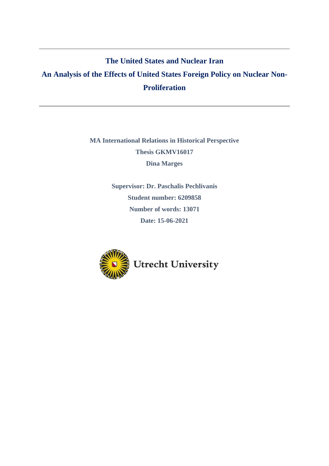## **The United States and Nuclear Iran**

# **An Analysis of the Effects of United States Foreign Policy on Nuclear Non-Proliferation**

## **MA International Relations in Historical Perspective Thesis GKMV16017 Dina Marges**

**Supervisor: Dr. Paschalis Pechlivanis Student number: 6209858 Number of words: 13071 Date: 15-06-2021**

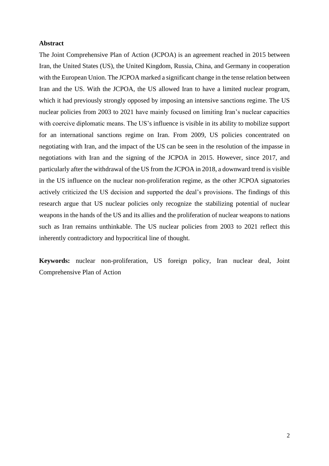#### **Abstract**

The Joint Comprehensive Plan of Action (JCPOA) is an agreement reached in 2015 between Iran, the United States (US), the United Kingdom, Russia, China, and Germany in cooperation with the European Union. The JCPOA marked a significant change in the tense relation between Iran and the US. With the JCPOA, the US allowed Iran to have a limited nuclear program, which it had previously strongly opposed by imposing an intensive sanctions regime. The US nuclear policies from 2003 to 2021 have mainly focused on limiting Iran's nuclear capacities with coercive diplomatic means. The US's influence is visible in its ability to mobilize support for an international sanctions regime on Iran. From 2009, US policies concentrated on negotiating with Iran, and the impact of the US can be seen in the resolution of the impasse in negotiations with Iran and the signing of the JCPOA in 2015. However, since 2017, and particularly after the withdrawal of the US from the JCPOA in 2018, a downward trend is visible in the US influence on the nuclear non-proliferation regime, as the other JCPOA signatories actively criticized the US decision and supported the deal's provisions. The findings of this research argue that US nuclear policies only recognize the stabilizing potential of nuclear weapons in the hands of the US and its allies and the proliferation of nuclear weapons to nations such as Iran remains unthinkable. The US nuclear policies from 2003 to 2021 reflect this inherently contradictory and hypocritical line of thought.

**Keywords:** nuclear non-proliferation, US foreign policy, Iran nuclear deal, Joint Comprehensive Plan of Action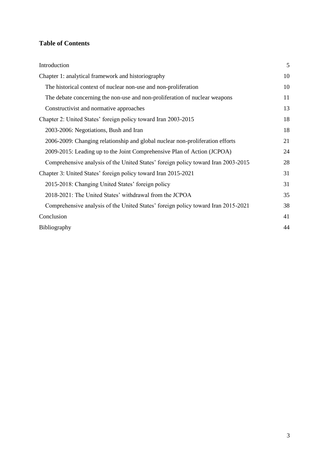## **Table of Contents**

| Introduction                                                                      | 5  |
|-----------------------------------------------------------------------------------|----|
| Chapter 1: analytical framework and historiography                                | 10 |
| The historical context of nuclear non-use and non-proliferation                   | 10 |
| The debate concerning the non-use and non-proliferation of nuclear weapons        | 11 |
| Constructivist and normative approaches                                           | 13 |
| Chapter 2: United States' foreign policy toward Iran 2003-2015                    | 18 |
| 2003-2006: Negotiations, Bush and Iran                                            | 18 |
| 2006-2009: Changing relationship and global nuclear non-proliferation efforts     | 21 |
| 2009-2015: Leading up to the Joint Comprehensive Plan of Action (JCPOA)           | 24 |
| Comprehensive analysis of the United States' foreign policy toward Iran 2003-2015 | 28 |
| Chapter 3: United States' foreign policy toward Iran 2015-2021                    | 31 |
| 2015-2018: Changing United States' foreign policy                                 | 31 |
| 2018-2021: The United States' withdrawal from the JCPOA                           | 35 |
| Comprehensive analysis of the United States' foreign policy toward Iran 2015-2021 | 38 |
| Conclusion                                                                        | 41 |
| Bibliography                                                                      | 44 |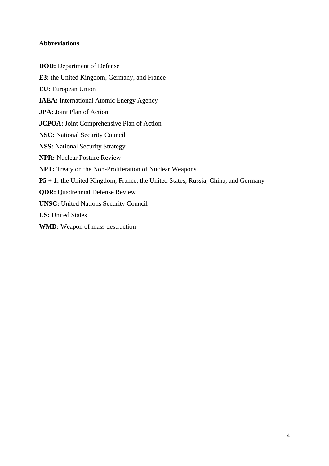## **Abbreviations**

**DOD:** Department of Defense **E3:** the United Kingdom, Germany, and France **EU:** European Union **IAEA:** International Atomic Energy Agency **JPA:** Joint Plan of Action **JCPOA:** Joint Comprehensive Plan of Action **NSC:** National Security Council **NSS:** National Security Strategy **NPR:** Nuclear Posture Review **NPT:** Treaty on the Non-Proliferation of Nuclear Weapons **P5 + 1:** the United Kingdom, France, the United States, Russia, China, and Germany **QDR:** Quadrennial Defense Review **UNSC:** United Nations Security Council **US:** United States **WMD:** Weapon of mass destruction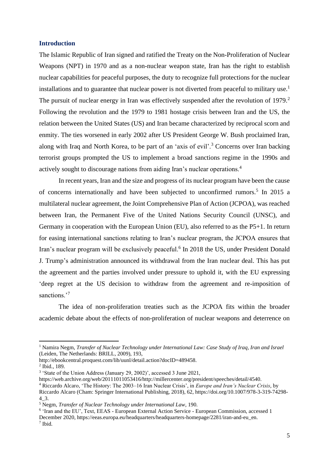#### <span id="page-4-0"></span>**Introduction**

The Islamic Republic of Iran signed and ratified the Treaty on the Non-Proliferation of Nuclear Weapons (NPT) in 1970 and as a non-nuclear weapon state, Iran has the right to establish nuclear capabilities for peaceful purposes, the duty to recognize full protections for the nuclear installations and to guarantee that nuclear power is not diverted from peaceful to military use.<sup>1</sup> The pursuit of nuclear energy in Iran was effectively suspended after the revolution of 1979.<sup>2</sup> Following the revolution and the 1979 to 1981 hostage crisis between Iran and the US, the relation between the United States (US) and Iran became characterized by reciprocal scorn and enmity. The ties worsened in early 2002 after US President George W. Bush proclaimed Iran, along with Iraq and North Korea, to be part of an 'axis of evil'.<sup>3</sup> Concerns over Iran backing terrorist groups prompted the US to implement a broad sanctions regime in the 1990s and actively sought to discourage nations from aiding Iran's nuclear operations.<sup>4</sup>

In recent years, Iran and the size and progress of its nuclear program have been the cause of concerns internationally and have been subjected to unconfirmed rumors.<sup>5</sup> In 2015 a multilateral nuclear agreement, the Joint Comprehensive Plan of Action (JCPOA), was reached between Iran, the Permanent Five of the United Nations Security Council (UNSC), and Germany in cooperation with the European Union (EU), also referred to as the P5+1. In return for easing international sanctions relating to Iran's nuclear program, the JCPOA ensures that Iran's nuclear program will be exclusively peaceful.<sup>6</sup> In 2018 the US, under President Donald J. Trump's administration announced its withdrawal from the Iran nuclear deal. This has put the agreement and the parties involved under pressure to uphold it, with the EU expressing 'deep regret at the US decision to withdraw from the agreement and re-imposition of sanctions.<sup>7</sup>

The idea of non-proliferation treaties such as the JCPOA fits within the broader academic debate about the effects of non-proliferation of nuclear weapons and deterrence on

<sup>1</sup> Namira Negm, *Transfer of Nuclear Technology under International Law: Case Study of Iraq, Iran and Israel* (Leiden, The Netherlands: BRILL, 2009), 193,

http://ebookcentral.proquest.com/lib/uunl/detail.action?docID=489458.

<sup>2</sup> Ibid., 189.

<sup>&</sup>lt;sup>3</sup> 'State of the Union Address (January 29, 2002)', accessed 3 June 2021,

https://web.archive.org/web/20111011053416/http://millercenter.org/president/speeches/detail/4540.

<sup>4</sup> Riccardo Alcaro, 'The History: The 2003–16 Iran Nuclear Crisis', in *Europe and Iran's Nuclear Crisis*, by

Riccardo Alcaro (Cham: Springer International Publishing, 2018), 62, https://doi.org/10.1007/978-3-319-74298- 4\_3.

<sup>5</sup> Negm, *Transfer of Nuclear Technology under International Law*, 190.

<sup>&</sup>lt;sup>6</sup> 'Iran and the EU', Text, EEAS - European External Action Service - European Commission, accessed 1 December 2020, https://eeas.europa.eu/headquarters/headquarters-homepage/2281/iran-and-eu\_en. 7 Ibid.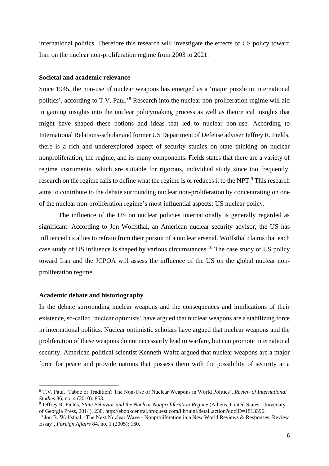international politics. Therefore this research will investigate the effects of US policy toward Iran on the nuclear non-proliferation regime from 2003 to 2021.

#### **Societal and academic relevance**

Since 1945, the non-use of nuclear weapons has emerged as a 'major puzzle in international politics', according to T.V. Paul.'<sup>8</sup> Research into the nuclear non-proliferation regime will aid in gaining insights into the nuclear policymaking process as well as theoretical insights that might have shaped these notions and ideas that led to nuclear non-use. According to International Relations-scholar and former US Department of Defense adviser Jeffrey R. Fields, there is a rich and underexplored aspect of security studies on state thinking on nuclear nonproliferation, the regime, and its many components. Fields states that there are a variety of regime instruments, which are suitable for rigorous, individual study since too frequently, research on the regime fails to define what the regime is or reduces it to the NPT.<sup>9</sup> This research aims to contribute to the debate surrounding nuclear non-proliferation by concentrating on one of the nuclear non-proliferation regime's most influential aspects: US nuclear policy.

The influence of the US on nuclear policies internationally is generally regarded as significant. According to Jon Wolfsthal, an American nuclear security advisor, the US has influenced its allies to refrain from their pursuit of a nuclear arsenal. Wolfsthal claims that each case study of US influence is shaped by various circumstances.<sup>10</sup> The case study of US policy toward Iran and the JCPOA will assess the influence of the US on the global nuclear nonproliferation regime.

#### **Academic debate and historiography**

In the debate surrounding nuclear weapons and the consequences and implications of their existence, so-called 'nuclear optimists' have argued that nuclear weapons are a stabilizing force in international politics. Nuclear optimistic scholars have argued that nuclear weapons and the proliferation of these weapons do not necessarily lead to warfare, but can promote international security. American political scientist Kenneth Waltz argued that nuclear weapons are a major force for peace and provide nations that possess them with the possibility of security at a

<sup>8</sup> T.V. Paul, 'Taboo or Tradition? The Non-Use of Nuclear Weapons in World Politics', *Review of International Studies* 36, no. 4 (2010): 853.

<sup>9</sup> Jeffrey R. Fields, *State Behavior and the Nuclear Nonproliferation Regime* (Athens, United States: University of Georgia Press, 2014), 238, http://ebookcentral.proquest.com/lib/uunl/detail.action?docID=1813396.

<sup>&</sup>lt;sup>10</sup> Jon B. Wolfsthal, 'The Next Nuclear Wave - Nonproliferation in a New World Reviews & Responses: Review Essay', *Foreign Affairs* 84, no. 1 (2005): 160.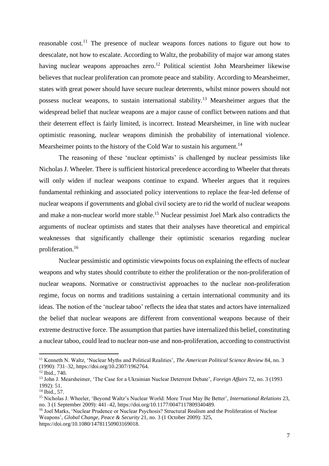reasonable cost.<sup>11</sup> The presence of nuclear weapons forces nations to figure out how to deescalate, not how to escalate. According to Waltz, the probability of major war among states having nuclear weapons approaches zero.<sup>12</sup> Political scientist John Mearsheimer likewise believes that nuclear proliferation can promote peace and stability. According to Mearsheimer, states with great power should have secure nuclear deterrents, whilst minor powers should not possess nuclear weapons, to sustain international stability.<sup>13</sup> Mearsheimer argues that the widespread belief that nuclear weapons are a major cause of conflict between nations and that their deterrent effect is fairly limited, is incorrect. Instead Mearsheimer, in line with nuclear optimistic reasoning, nuclear weapons diminish the probability of international violence. Mearsheimer points to the history of the Cold War to sustain his argument.<sup>14</sup>

The reasoning of these 'nuclear optimists' is challenged by nuclear pessimists like Nicholas J. Wheeler. There is sufficient historical precedence according to Wheeler that threats will only widen if nuclear weapons continue to expand. Wheeler argues that it requires fundamental rethinking and associated policy interventions to replace the fear-led defense of nuclear weapons if governments and global civil society are to rid the world of nuclear weapons and make a non-nuclear world more stable. <sup>15</sup> Nuclear pessimist Joel Mark also contradicts the arguments of nuclear optimists and states that their analyses have theoretical and empirical weaknesses that significantly challenge their optimistic scenarios regarding nuclear proliferation.<sup>16</sup>

Nuclear pessimistic and optimistic viewpoints focus on explaining the effects of nuclear weapons and why states should contribute to either the proliferation or the non-proliferation of nuclear weapons. Normative or constructivist approaches to the nuclear non-proliferation regime, focus on norms and traditions sustaining a certain international community and its ideas. The notion of the 'nuclear taboo' reflects the idea that states and actors have internalized the belief that nuclear weapons are different from conventional weapons because of their extreme destructive force. The assumption that parties have internalized this belief, constituting a nuclear taboo, could lead to nuclear non-use and non-proliferation, according to constructivist

<sup>11</sup> Kenneth N. Waltz, 'Nuclear Myths and Political Realities', *The American Political Science Review* 84, no. 3 (1990): 731–32, https://doi.org/10.2307/1962764.

<sup>12</sup> Ibid., 740.

<sup>13</sup> John J. Mearsheimer, 'The Case for a Ukrainian Nuclear Deterrent Debate', *Foreign Affairs* 72, no. 3 (1993 1992): 51.

<sup>14</sup> Ibid., 57.

<sup>15</sup> Nicholas J. Wheeler, 'Beyond Waltz's Nuclear World: More Trust May Be Better', *International Relations* 23, no. 3 (1 September 2009): 441–42, https://doi.org/10.1177/0047117809340489.

<sup>&</sup>lt;sup>16</sup> Joel Marks, 'Nuclear Prudence or Nuclear Psychosis? Structural Realism and the Proliferation of Nuclear Weapons', *Global Change, Peace & Security* 21, no. 3 (1 October 2009): 325, https://doi.org/10.1080/14781150903169018.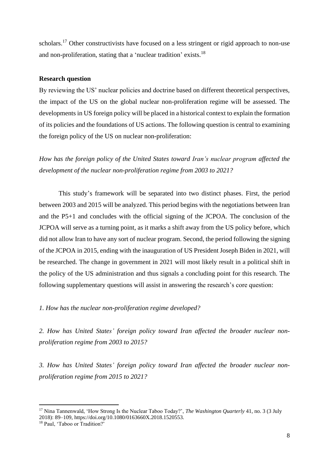scholars.<sup>17</sup> Other constructivists have focused on a less stringent or rigid approach to non-use and non-proliferation, stating that a 'nuclear tradition' exists.<sup>18</sup>

#### **Research question**

By reviewing the US' nuclear policies and doctrine based on different theoretical perspectives, the impact of the US on the global nuclear non-proliferation regime will be assessed. The developments in US foreign policy will be placed in a historical context to explain the formation of its policies and the foundations of US actions. The following question is central to examining the foreign policy of the US on nuclear non-proliferation:

*How has the foreign policy of the United States toward Iran's nuclear program affected the development of the nuclear non-proliferation regime from 2003 to 2021?*

This study's framework will be separated into two distinct phases. First, the period between 2003 and 2015 will be analyzed. This period begins with the negotiations between Iran and the P5+1 and concludes with the official signing of the JCPOA. The conclusion of the JCPOA will serve as a turning point, as it marks a shift away from the US policy before, which did not allow Iran to have any sort of nuclear program. Second, the period following the signing of the JCPOA in 2015, ending with the inauguration of US President Joseph Biden in 2021, will be researched. The change in government in 2021 will most likely result in a political shift in the policy of the US administration and thus signals a concluding point for this research. The following supplementary questions will assist in answering the research's core question:

*1. How has the nuclear non-proliferation regime developed?*

*2. How has United States' foreign policy toward Iran affected the broader nuclear nonproliferation regime from 2003 to 2015?*

*3. How has United States' foreign policy toward Iran affected the broader nuclear nonproliferation regime from 2015 to 2021?*

<sup>17</sup> Nina Tannenwald, 'How Strong Is the Nuclear Taboo Today?', *The Washington Quarterly* 41, no. 3 (3 July 2018): 89–109, https://doi.org/10.1080/0163660X.2018.1520553.

<sup>18</sup> Paul, 'Taboo or Tradition?'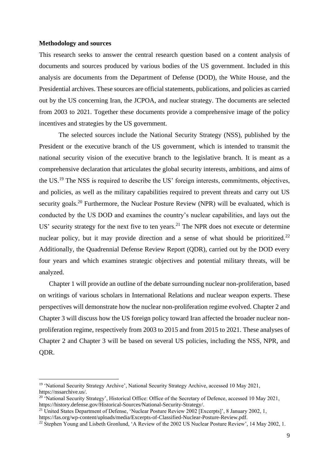#### **Methodology and sources**

This research seeks to answer the central research question based on a content analysis of documents and sources produced by various bodies of the US government. Included in this analysis are documents from the Department of Defense (DOD), the White House, and the Presidential archives. These sources are official statements, publications, and policies as carried out by the US concerning Iran, the JCPOA, and nuclear strategy. The documents are selected from 2003 to 2021. Together these documents provide a comprehensive image of the policy incentives and strategies by the US government.

The selected sources include the National Security Strategy (NSS), published by the President or the executive branch of the US government, which is intended to transmit the national security vision of the executive branch to the legislative branch. It is meant as a comprehensive declaration that articulates the global security interests, ambitions, and aims of the US.<sup>19</sup> The NSS is required to describe the US' foreign interests, commitments, objectives, and policies, as well as the military capabilities required to prevent threats and carry out US security goals.<sup>20</sup> Furthermore, the Nuclear Posture Review (NPR) will be evaluated, which is conducted by the US DOD and examines the country's nuclear capabilities, and lays out the US' security strategy for the next five to ten years.<sup>21</sup> The NPR does not execute or determine nuclear policy, but it may provide direction and a sense of what should be prioritized.<sup>22</sup> Additionally, the Quadrennial Defense Review Report (QDR), carried out by the DOD every four years and which examines strategic objectives and potential military threats, will be analyzed.

Chapter 1 will provide an outline of the debate surrounding nuclear non-proliferation, based on writings of various scholars in International Relations and nuclear weapon experts. These perspectives will demonstrate how the nuclear non-proliferation regime evolved. Chapter 2 and Chapter 3 will discuss how the US foreign policy toward Iran affected the broader nuclear nonproliferation regime, respectively from 2003 to 2015 and from 2015 to 2021. These analyses of Chapter 2 and Chapter 3 will be based on several US policies, including the NSS, NPR, and QDR.

<sup>19</sup> 'National Security Strategy Archive', National Security Strategy Archive, accessed 10 May 2021, https://nssarchive.us/.

<sup>&</sup>lt;sup>20</sup> 'National Security Strategy', Historical Office: Office of the Secretary of Defence, accessed 10 May 2021, https://history.defense.gov/Historical-Sources/National-Security-Strategy/.

<sup>&</sup>lt;sup>21</sup> United States Department of Defense, 'Nuclear Posture Review 2002 [Excerpts]', 8 January 2002, 1,

https://fas.org/wp-content/uploads/media/Excerpts-of-Classified-Nuclear-Posture-Review.pdf.

<sup>&</sup>lt;sup>22</sup> Stephen Young and Lisbeth Gronlund, 'A Review of the 2002 US Nuclear Posture Review', 14 May 2002, 1.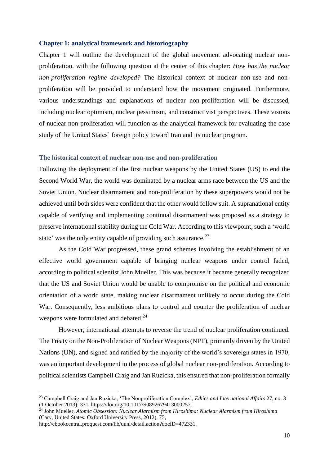#### <span id="page-9-0"></span>**Chapter 1: analytical framework and historiography**

Chapter 1 will outline the development of the global movement advocating nuclear nonproliferation, with the following question at the center of this chapter: *How has the nuclear non-proliferation regime developed?* The historical context of nuclear non-use and nonproliferation will be provided to understand how the movement originated. Furthermore, various understandings and explanations of nuclear non-proliferation will be discussed, including nuclear optimism, nuclear pessimism, and constructivist perspectives. These visions of nuclear non-proliferation will function as the analytical framework for evaluating the case study of the United States' foreign policy toward Iran and its nuclear program.

#### <span id="page-9-1"></span>**The historical context of nuclear non-use and non-proliferation**

Following the deployment of the first nuclear weapons by the United States (US) to end the Second World War, the world was dominated by a nuclear arms race between the US and the Soviet Union. Nuclear disarmament and non-proliferation by these superpowers would not be achieved until both sides were confident that the other would follow suit. A supranational entity capable of verifying and implementing continual disarmament was proposed as a strategy to preserve international stability during the Cold War. According to this viewpoint, such a 'world state' was the only entity capable of providing such assurance.<sup>23</sup>

As the Cold War progressed, these grand schemes involving the establishment of an effective world government capable of bringing nuclear weapons under control faded, according to political scientist John Mueller. This was because it became generally recognized that the US and Soviet Union would be unable to compromise on the political and economic orientation of a world state, making nuclear disarmament unlikely to occur during the Cold War. Consequently, less ambitious plans to control and counter the proliferation of nuclear weapons were formulated and debated.<sup>24</sup>

However, international attempts to reverse the trend of nuclear proliferation continued. The Treaty on the Non-Proliferation of Nuclear Weapons (NPT), primarily driven by the United Nations (UN), and signed and ratified by the majority of the world's sovereign states in 1970, was an important development in the process of global nuclear non-proliferation. According to political scientists Campbell Craig and Jan Ruzicka, this ensured that non-proliferation formally

<sup>23</sup> Campbell Craig and Jan Ruzicka, 'The Nonproliferation Complex', *Ethics and International Affairs* 27, no. 3 (1 October 2013): 331, https://doi.org/10.1017/S0892679413000257.

<sup>24</sup> John Mueller, *Atomic Obsession: Nuclear Alarmism from Hiroshima: Nuclear Alarmism from Hiroshima* (Cary, United States: Oxford University Press, 2012), 75,

http://ebookcentral.proquest.com/lib/uunl/detail.action?docID=472331.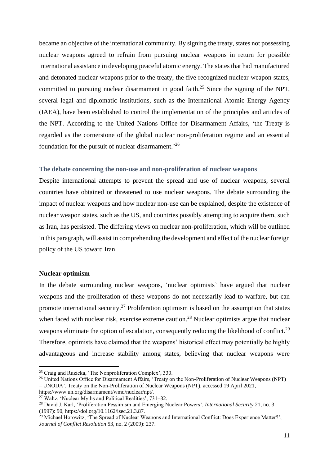became an objective of the international community. By signing the treaty, states not possessing nuclear weapons agreed to refrain from pursuing nuclear weapons in return for possible international assistance in developing peaceful atomic energy. The states that had manufactured and detonated nuclear weapons prior to the treaty, the five recognized nuclear-weapon states, committed to pursuing nuclear disarmament in good faith.<sup>25</sup> Since the signing of the NPT, several legal and diplomatic institutions, such as the International Atomic Energy Agency (IAEA), have been established to control the implementation of the principles and articles of the NPT. According to the United Nations Office for Disarmament Affairs, 'the Treaty is regarded as the cornerstone of the global nuclear non-proliferation regime and an essential foundation for the pursuit of nuclear disarmament.<sup>26</sup>

#### <span id="page-10-0"></span>**The debate concerning the non-use and non-proliferation of nuclear weapons**

Despite international attempts to prevent the spread and use of nuclear weapons, several countries have obtained or threatened to use nuclear weapons. The debate surrounding the impact of nuclear weapons and how nuclear non-use can be explained, despite the existence of nuclear weapon states, such as the US, and countries possibly attempting to acquire them, such as Iran, has persisted. The differing views on nuclear non-proliferation, which will be outlined in this paragraph, will assist in comprehending the development and effect of the nuclear foreign policy of the US toward Iran.

#### **Nuclear optimism**

In the debate surrounding nuclear weapons, 'nuclear optimists' have argued that nuclear weapons and the proliferation of these weapons do not necessarily lead to warfare, but can promote international security.<sup>27</sup> Proliferation optimism is based on the assumption that states when faced with nuclear risk, exercise extreme caution.<sup>28</sup> Nuclear optimists argue that nuclear weapons eliminate the option of escalation, consequently reducing the likelihood of conflict.<sup>29</sup> Therefore, optimists have claimed that the weapons' historical effect may potentially be highly advantageous and increase stability among states, believing that nuclear weapons were

https://www.un.org/disarmament/wmd/nuclear/npt/.

<sup>25</sup> Craig and Ruzicka, 'The Nonproliferation Complex', 330.

<sup>&</sup>lt;sup>26</sup> United Nations Office for Disarmament Affairs, 'Treaty on the Non-Proliferation of Nuclear Weapons (NPT) – UNODA', Treaty on the Non-Proliferation of Nuclear Weapons (NPT), accessed 19 April 2021,

<sup>&</sup>lt;sup>27</sup> Waltz, 'Nuclear Myths and Political Realities',  $731-32$ .

<sup>28</sup> David J. Karl, 'Proliferation Pessimism and Emerging Nuclear Powers', *International Security* 21, no. 3 (1997): 90, https://doi.org/10.1162/isec.21.3.87.

<sup>&</sup>lt;sup>29</sup> Michael Horowitz, 'The Spread of Nuclear Weapons and International Conflict: Does Experience Matter?', *Journal of Conflict Resolution* 53, no. 2 (2009): 237.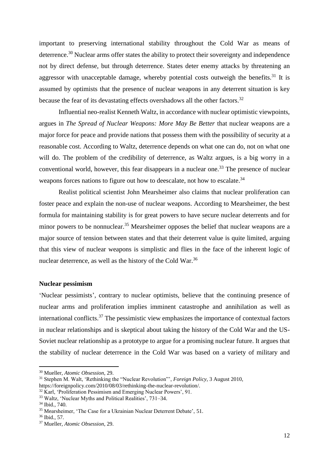important to preserving international stability throughout the Cold War as means of deterrence.<sup>30</sup> Nuclear arms offer states the ability to protect their sovereignty and independence not by direct defense, but through deterrence. States deter enemy attacks by threatening an aggressor with unacceptable damage, whereby potential costs outweigh the benefits. $31$  It is assumed by optimists that the presence of nuclear weapons in any deterrent situation is key because the fear of its devastating effects overshadows all the other factors.<sup>32</sup>

Influential neo-realist Kenneth Waltz, in accordance with nuclear optimistic viewpoints, argues in *The Spread of Nuclear Weapons: More May Be Better* that nuclear weapons are a major force for peace and provide nations that possess them with the possibility of security at a reasonable cost. According to Waltz, deterrence depends on what one can do, not on what one will do. The problem of the credibility of deterrence, as Waltz argues, is a big worry in a conventional world, however, this fear disappears in a nuclear one.<sup>33</sup> The presence of nuclear weapons forces nations to figure out how to deescalate, not how to escalate.<sup>34</sup>

Realist political scientist John Mearsheimer also claims that nuclear proliferation can foster peace and explain the non-use of nuclear weapons. According to Mearsheimer, the best formula for maintaining stability is for great powers to have secure nuclear deterrents and for minor powers to be nonnuclear.<sup>35</sup> Mearsheimer opposes the belief that nuclear weapons are a major source of tension between states and that their deterrent value is quite limited, arguing that this view of nuclear weapons is simplistic and flies in the face of the inherent logic of nuclear deterrence, as well as the history of the Cold War.<sup>36</sup>

#### **Nuclear pessimism**

'Nuclear pessimists', contrary to nuclear optimists, believe that the continuing presence of nuclear arms and proliferation implies imminent catastrophe and annihilation as well as international conflicts.<sup>37</sup> The pessimistic view emphasizes the importance of contextual factors in nuclear relationships and is skeptical about taking the history of the Cold War and the US-Soviet nuclear relationship as a prototype to argue for a promising nuclear future. It argues that the stability of nuclear deterrence in the Cold War was based on a variety of military and

<sup>30</sup> Mueller, *Atomic Obsession*, 29.

<sup>31</sup> Stephen M. Walt, 'Rethinking the "Nuclear Revolution"', *Foreign Policy*, 3 August 2010,

https://foreignpolicy.com/2010/08/03/rethinking-the-nuclear-revolution/.

<sup>&</sup>lt;sup>32</sup> Karl, 'Proliferation Pessimism and Emerging Nuclear Powers', 91.

<sup>33</sup> Waltz, 'Nuclear Myths and Political Realities', 731–34.

<sup>34</sup> Ibid., 740.

<sup>35</sup> Mearsheimer, 'The Case for a Ukrainian Nuclear Deterrent Debate', 51.

<sup>36</sup> Ibid., 57.

<sup>37</sup> Mueller, *Atomic Obsession*, 29.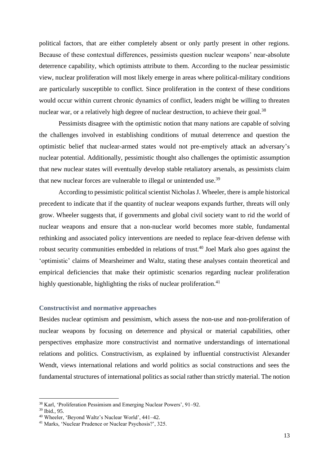political factors, that are either completely absent or only partly present in other regions. Because of these contextual differences, pessimists question nuclear weapons' near-absolute deterrence capability, which optimists attribute to them. According to the nuclear pessimistic view, nuclear proliferation will most likely emerge in areas where political-military conditions are particularly susceptible to conflict. Since proliferation in the context of these conditions would occur within current chronic dynamics of conflict, leaders might be willing to threaten nuclear war, or a relatively high degree of nuclear destruction, to achieve their goal.<sup>38</sup>

Pessimists disagree with the optimistic notion that many nations are capable of solving the challenges involved in establishing conditions of mutual deterrence and question the optimistic belief that nuclear-armed states would not pre-emptively attack an adversary's nuclear potential. Additionally, pessimistic thought also challenges the optimistic assumption that new nuclear states will eventually develop stable retaliatory arsenals, as pessimists claim that new nuclear forces are vulnerable to illegal or unintended use.<sup>39</sup>

According to pessimistic political scientist Nicholas J. Wheeler, there is ample historical precedent to indicate that if the quantity of nuclear weapons expands further, threats will only grow. Wheeler suggests that, if governments and global civil society want to rid the world of nuclear weapons and ensure that a non-nuclear world becomes more stable, fundamental rethinking and associated policy interventions are needed to replace fear-driven defense with robust security communities embedded in relations of trust.<sup>40</sup> Joel Mark also goes against the 'optimistic' claims of Mearsheimer and Waltz, stating these analyses contain theoretical and empirical deficiencies that make their optimistic scenarios regarding nuclear proliferation highly questionable, highlighting the risks of nuclear proliferation.<sup>41</sup>

#### <span id="page-12-0"></span>**Constructivist and normative approaches**

Besides nuclear optimism and pessimism, which assess the non-use and non-proliferation of nuclear weapons by focusing on deterrence and physical or material capabilities, other perspectives emphasize more constructivist and normative understandings of international relations and politics. Constructivism, as explained by influential constructivist Alexander Wendt, views international relations and world politics as social constructions and sees the fundamental structures of international politics as social rather than strictly material. The notion

<sup>38</sup> Karl, 'Proliferation Pessimism and Emerging Nuclear Powers', 91–92.

<sup>39</sup> Ibid., 95.

<sup>40</sup> Wheeler, 'Beyond Waltz's Nuclear World', 441–42.

<sup>41</sup> Marks, 'Nuclear Prudence or Nuclear Psychosis?', 325.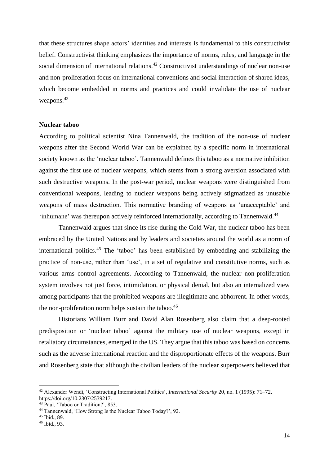that these structures shape actors' identities and interests is fundamental to this constructivist belief. Constructivist thinking emphasizes the importance of norms, rules, and language in the social dimension of international relations.<sup>42</sup> Constructivist understandings of nuclear non-use and non-proliferation focus on international conventions and social interaction of shared ideas, which become embedded in norms and practices and could invalidate the use of nuclear weapons.<sup>43</sup>

#### **Nuclear taboo**

According to political scientist Nina Tannenwald, the tradition of the non-use of nuclear weapons after the Second World War can be explained by a specific norm in international society known as the 'nuclear taboo'. Tannenwald defines this taboo as a normative inhibition against the first use of nuclear weapons, which stems from a strong aversion associated with such destructive weapons. In the post-war period, nuclear weapons were distinguished from conventional weapons, leading to nuclear weapons being actively stigmatized as unusable weapons of mass destruction. This normative branding of weapons as 'unacceptable' and 'inhumane' was thereupon actively reinforced internationally, according to Tannenwald.<sup>44</sup>

Tannenwald argues that since its rise during the Cold War, the nuclear taboo has been embraced by the United Nations and by leaders and societies around the world as a norm of international politics.<sup>45</sup> The 'taboo' has been established by embedding and stabilizing the practice of non-use, rather than 'use', in a set of regulative and constitutive norms, such as various arms control agreements. According to Tannenwald, the nuclear non-proliferation system involves not just force, intimidation, or physical denial, but also an internalized view among participants that the prohibited weapons are illegitimate and abhorrent. In other words, the non-proliferation norm helps sustain the taboo. $46$ 

Historians William Burr and David Alan Rosenberg also claim that a deep-rooted predisposition or 'nuclear taboo' against the military use of nuclear weapons, except in retaliatory circumstances, emerged in the US. They argue that this taboo was based on concerns such as the adverse international reaction and the disproportionate effects of the weapons. Burr and Rosenberg state that although the civilian leaders of the nuclear superpowers believed that

<sup>42</sup> Alexander Wendt, 'Constructing International Politics', *International Security* 20, no. 1 (1995): 71–72, https://doi.org/10.2307/2539217.

<sup>43</sup> Paul, 'Taboo or Tradition?', 853.

<sup>44</sup> Tannenwald, 'How Strong Is the Nuclear Taboo Today?', 92.

<sup>45</sup> Ibid., 89.

<sup>46</sup> Ibid., 93.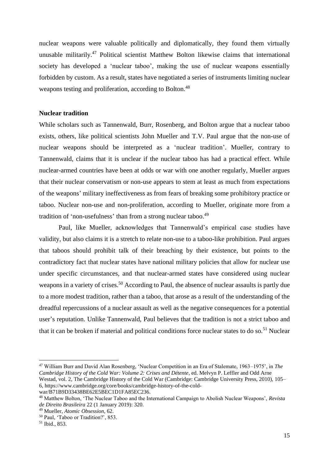nuclear weapons were valuable politically and diplomatically, they found them virtually unusable militarily.<sup>47</sup> Political scientist Matthew Bolton likewise claims that international society has developed a 'nuclear taboo', making the use of nuclear weapons essentially forbidden by custom. As a result, states have negotiated a series of instruments limiting nuclear weapons testing and proliferation, according to Bolton.<sup>48</sup>

#### **Nuclear tradition**

While scholars such as Tannenwald, Burr, Rosenberg, and Bolton argue that a nuclear taboo exists, others, like political scientists John Mueller and T.V. Paul argue that the non-use of nuclear weapons should be interpreted as a 'nuclear tradition'. Mueller, contrary to Tannenwald, claims that it is unclear if the nuclear taboo has had a practical effect. While nuclear-armed countries have been at odds or war with one another regularly, Mueller argues that their nuclear conservatism or non-use appears to stem at least as much from expectations of the weapons' military ineffectiveness as from fears of breaking some prohibitory practice or taboo. Nuclear non-use and non-proliferation, according to Mueller, originate more from a tradition of 'non-usefulness' than from a strong nuclear taboo.<sup>49</sup>

Paul, like Mueller, acknowledges that Tannenwald's empirical case studies have validity, but also claims it is a stretch to relate non-use to a taboo-like prohibition. Paul argues that taboos should prohibit talk of their breaching by their existence, but points to the contradictory fact that nuclear states have national military policies that allow for nuclear use under specific circumstances, and that nuclear-armed states have considered using nuclear weapons in a variety of crises.<sup>50</sup> According to Paul, the absence of nuclear assaults is partly due to a more modest tradition, rather than a taboo, that arose as a result of the understanding of the dreadful repercussions of a nuclear assault as well as the negative consequences for a potential user's reputation. Unlike Tannenwald, Paul believes that the tradition is not a strict taboo and that it can be broken if material and political conditions force nuclear states to do so.<sup>51</sup> Nuclear

<sup>47</sup> William Burr and David Alan Rosenberg, 'Nuclear Competition in an Era of Stalemate, 1963–1975', in *The Cambridge History of the Cold War: Volume 2: Crises and Détente*, ed. Melvyn P. Leffler and Odd Arne Westad, vol. 2, The Cambridge History of the Cold War (Cambridge: Cambridge University Press, 2010), 105– 6, https://www.cambridge.org/core/books/cambridge-history-of-the-coldwar/B71B9D33438BE62E5BEC1D1FA85EC236.

<sup>48</sup> Matthew Bolton, 'The Nuclear Taboo and the International Campaign to Abolish Nuclear Weapons', *Revista de Direito Brasileira* 22 (1 January 2019): 320.

<sup>49</sup> Mueller, *Atomic Obsession*, 62.

<sup>50</sup> Paul, 'Taboo or Tradition?', 853.

<sup>51</sup> Ibid., 853.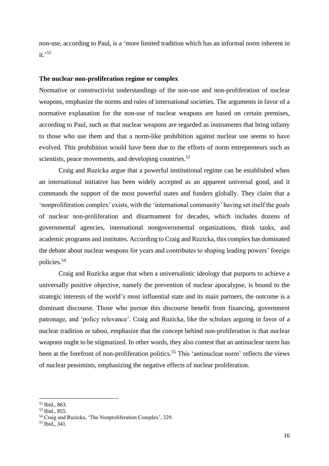non-use, according to Paul, is a 'more limited tradition which has an informal norm inherent in it.' 52

#### **The nuclear non-proliferation regime or complex**

Normative or constructivist understandings of the non-use and non-proliferation of nuclear weapons, emphasize the norms and rules of international societies. The arguments in favor of a normative explanation for the non-use of nuclear weapons are based on certain premises, according to Paul, such as that nuclear weapons are regarded as instruments that bring infamy to those who use them and that a norm-like prohibition against nuclear use seems to have evolved. This prohibition would have been due to the efforts of norm entrepreneurs such as scientists, peace movements, and developing countries.<sup>53</sup>

Craig and Ruzicka argue that a powerful institutional regime can be established when an international initiative has been widely accepted as an apparent universal good, and it commands the support of the most powerful states and funders globally. They claim that a 'nonproliferation complex' exists, with the 'international community' having set itself the goals of nuclear non-proliferation and disarmament for decades, which includes dozens of governmental agencies, international nongovernmental organizations, think tanks, and academic programs and institutes. According to Craig and Ruzicka, this complex has dominated the debate about nuclear weapons for years and contributes to shaping leading powers' foreign policies.<sup>54</sup>

Craig and Ruzicka argue that when a universalistic ideology that purports to achieve a universally positive objective, namely the prevention of nuclear apocalypse, is bound to the strategic interests of the world's most influential state and its main partners, the outcome is a dominant discourse. Those who pursue this discourse benefit from financing, government patronage, and 'policy relevance'. Craig and Ruzicka, like the scholars arguing in favor of a nuclear tradition or taboo, emphasize that the concept behind non-proliferation is that nuclear weapons ought to be stigmatized. In other words, they also contest that an antinuclear norm has been at the forefront of non-proliferation politics.<sup>55</sup> This 'antinuclear norm' reflects the views of nuclear pessimists, emphasizing the negative effects of nuclear proliferation.

<sup>52</sup> Ibid., 863.

<sup>53</sup> Ibid., 855.

<sup>54</sup> Craig and Ruzicka, 'The Nonproliferation Complex', 329.

<sup>55</sup> Ibid., 341.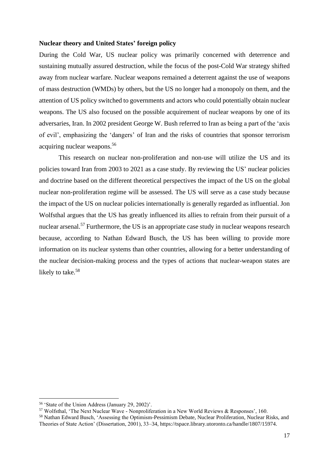#### **Nuclear theory and United States' foreign policy**

During the Cold War, US nuclear policy was primarily concerned with deterrence and sustaining mutually assured destruction, while the focus of the post-Cold War strategy shifted away from nuclear warfare. Nuclear weapons remained a deterrent against the use of weapons of mass destruction (WMDs) by others, but the US no longer had a monopoly on them, and the attention of US policy switched to governments and actors who could potentially obtain nuclear weapons. The US also focused on the possible acquirement of nuclear weapons by one of its adversaries, Iran. In 2002 president George W. Bush referred to Iran as being a part of the 'axis of evil', emphasizing the 'dangers' of Iran and the risks of countries that sponsor terrorism acquiring nuclear weapons.<sup>56</sup>

This research on nuclear non-proliferation and non-use will utilize the US and its policies toward Iran from 2003 to 2021 as a case study. By reviewing the US' nuclear policies and doctrine based on the different theoretical perspectives the impact of the US on the global nuclear non-proliferation regime will be assessed. The US will serve as a case study because the impact of the US on nuclear policies internationally is generally regarded as influential. Jon Wolfsthal argues that the US has greatly influenced its allies to refrain from their pursuit of a nuclear arsenal.<sup>57</sup> Furthermore, the US is an appropriate case study in nuclear weapons research because, according to Nathan Edward Busch, the US has been willing to provide more information on its nuclear systems than other countries, allowing for a better understanding of the nuclear decision-making process and the types of actions that nuclear-weapon states are likely to take.<sup>58</sup>

<sup>56</sup> 'State of the Union Address (January 29, 2002)'.

<sup>57</sup> Wolfsthal, 'The Next Nuclear Wave - Nonproliferation in a New World Reviews & Responses', 160.

<sup>58</sup> Nathan Edward Busch, 'Assessing the Optimism-Pessimism Debate, Nuclear Proliferation, Nuclear Risks, and Theories of State Action' (Dissertation, 2001), 33–34, https://tspace.library.utoronto.ca/handle/1807/15974.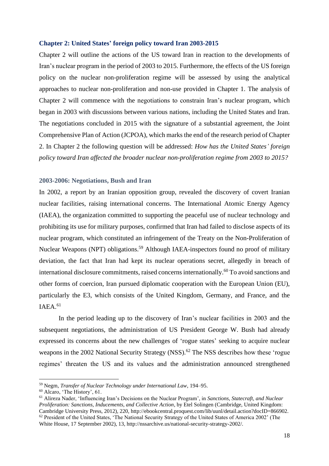#### <span id="page-17-0"></span>**Chapter 2: United States' foreign policy toward Iran 2003-2015**

Chapter 2 will outline the actions of the US toward Iran in reaction to the developments of Iran's nuclear program in the period of 2003 to 2015. Furthermore, the effects of the US foreign policy on the nuclear non-proliferation regime will be assessed by using the analytical approaches to nuclear non-proliferation and non-use provided in Chapter 1. The analysis of Chapter 2 will commence with the negotiations to constrain Iran's nuclear program, which began in 2003 with discussions between various nations, including the United States and Iran. The negotiations concluded in 2015 with the signature of a substantial agreement, the Joint Comprehensive Plan of Action (JCPOA), which marks the end of the research period of Chapter 2. In Chapter 2 the following question will be addressed: *How has the United States' foreign policy toward Iran affected the broader nuclear non-proliferation regime from 2003 to 2015?*

### <span id="page-17-1"></span>**2003-2006: Negotiations, Bush and Iran**

In 2002, a report by an Iranian opposition group, revealed the discovery of covert Iranian nuclear facilities, raising international concerns. The International Atomic Energy Agency (IAEA), the organization committed to supporting the peaceful use of nuclear technology and prohibiting its use for military purposes, confirmed that Iran had failed to disclose aspects of its nuclear program, which constituted an infringement of the Treaty on the Non-Proliferation of Nuclear Weapons (NPT) obligations.<sup>59</sup> Although IAEA-inspectors found no proof of military deviation, the fact that Iran had kept its nuclear operations secret, allegedly in breach of international disclosure commitments, raised concerns internationally.<sup>60</sup> To avoid sanctions and other forms of coercion, Iran pursued diplomatic cooperation with the European Union (EU), particularly the E3, which consists of the United Kingdom, Germany, and France, and the IAEA. 61

In the period leading up to the discovery of Iran's nuclear facilities in 2003 and the subsequent negotiations, the administration of US President George W. Bush had already expressed its concerns about the new challenges of 'rogue states' seeking to acquire nuclear weapons in the 2002 National Security Strategy (NSS).<sup>62</sup> The NSS describes how these 'rogue regimes' threaten the US and its values and the administration announced strengthened

<sup>59</sup> Negm, *Transfer of Nuclear Technology under International Law*, 194–95.

<sup>60</sup> Alcaro, 'The History', 61.

<sup>61</sup> Alireza Nader, 'Influencing Iran's Decisions on the Nuclear Program', in *Sanctions, Statecraft, and Nuclear Proliferation: Sanctions, Inducements, and Collective Action*, by Etel Solingen (Cambridge, United Kingdom: Cambridge University Press, 2012), 220, http://ebookcentral.proquest.com/lib/uunl/detail.action?docID=866902. <sup>62</sup> President of the United States, 'The National Security Strategy of the United States of America 2002' (The White House, 17 September 2002), 13, http://nssarchive.us/national-security-strategy-2002/.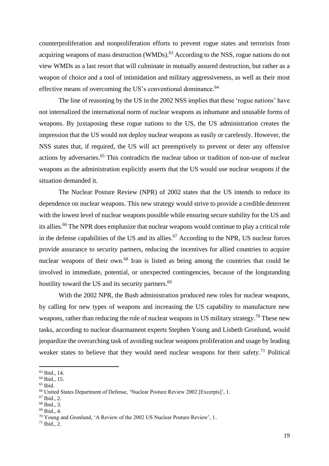counterproliferation and nonproliferation efforts to prevent rogue states and terrorists from acquiring weapons of mass destruction (WMDs).<sup>63</sup> According to the NSS, rogue nations do not view WMDs as a last resort that will culminate in mutually assured destruction, but rather as a weapon of choice and a tool of intimidation and military aggressiveness, as well as their most effective means of overcoming the US's conventional dominance.<sup>64</sup>

The line of reasoning by the US in the 2002 NSS implies that these 'rogue nations' have not internalized the international norm of nuclear weapons as inhumane and unusable forms of weapons. By juxtaposing these rogue nations to the US, the US administration creates the impression that the US would not deploy nuclear weapons as easily or carelessly. However, the NSS states that, if required, the US will act preemptively to prevent or deter any offensive actions by adversaries.<sup>65</sup> This contradicts the nuclear taboo or tradition of non-use of nuclear weapons as the administration explicitly asserts that the US would use nuclear weapons if the situation demanded it.

The Nuclear Posture Review (NPR) of 2002 states that the US intends to reduce its dependence on nuclear weapons. This new strategy would strive to provide a credible deterrent with the lowest level of nuclear weapons possible while ensuring secure stability for the US and its allies.<sup>66</sup> The NPR does emphasize that nuclear weapons would continue to play a critical role in the defense capabilities of the US and its allies.<sup>67</sup> According to the NPR, US nuclear forces provide assurance to security partners, reducing the incentives for allied countries to acquire nuclear weapons of their own.<sup>68</sup> Iran is listed as being among the countries that could be involved in immediate, potential, or unexpected contingencies, because of the longstanding hostility toward the US and its security partners.<sup>69</sup>

With the 2002 NPR, the Bush administration produced new roles for nuclear weapons, by calling for new types of weapons and increasing the US capability to manufacture new weapons, rather than reducing the role of nuclear weapons in US military strategy.<sup>70</sup> These new tasks, according to nuclear disarmament experts Stephen Young and Lisbeth Gronlund, would jeopardize the overarching task of avoiding nuclear weapons proliferation and usage by leading weaker states to believe that they would need nuclear weapons for their safety.<sup>71</sup> Political

<sup>63</sup> Ibid., 14.

<sup>64</sup> Ibid., 15.

 $65$  Ibid.

<sup>66</sup> United States Department of Defense, 'Nuclear Posture Review 2002 [Excerpts]', 1.

<sup>67</sup> Ibid., 2.

<sup>68</sup> Ibid., 3.

<sup>69</sup> Ibid., 4.

<sup>70</sup> Young and Gronlund, 'A Review of the 2002 US Nuclear Posture Review', 1.

 $71$  Ibid., 2.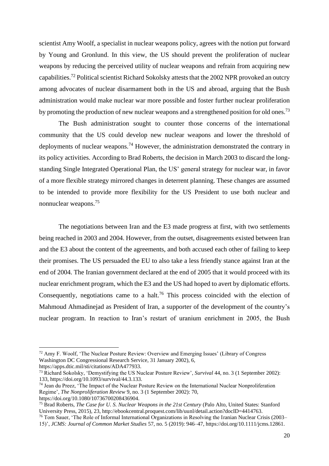scientist Amy Woolf, a specialist in nuclear weapons policy, agrees with the notion put forward by Young and Gronlund. In this view, the US should prevent the proliferation of nuclear weapons by reducing the perceived utility of nuclear weapons and refrain from acquiring new capabilities.<sup>72</sup> Political scientist Richard Sokolsky attests that the 2002 NPR provoked an outcry among advocates of nuclear disarmament both in the US and abroad, arguing that the Bush administration would make nuclear war more possible and foster further nuclear proliferation by promoting the production of new nuclear weapons and a strengthened position for old ones.<sup>73</sup>

The Bush administration sought to counter those concerns of the international community that the US could develop new nuclear weapons and lower the threshold of deployments of nuclear weapons.<sup>74</sup> However, the administration demonstrated the contrary in its policy activities. According to Brad Roberts, the decision in March 2003 to discard the longstanding Single Integrated Operational Plan, the US' general strategy for nuclear war, in favor of a more flexible strategy mirrored changes in deterrent planning. These changes are assumed to be intended to provide more flexibility for the US President to use both nuclear and nonnuclear weapons.<sup>75</sup>

The negotiations between Iran and the E3 made progress at first, with two settlements being reached in 2003 and 2004. However, from the outset, disagreements existed between Iran and the E3 about the content of the agreements, and both accused each other of failing to keep their promises. The US persuaded the EU to also take a less friendly stance against Iran at the end of 2004. The Iranian government declared at the end of 2005 that it would proceed with its nuclear enrichment program, which the E3 and the US had hoped to avert by diplomatic efforts. Consequently, negotiations came to a halt.<sup>76</sup> This process coincided with the election of Mahmoud Ahmadinejad as President of Iran, a supporter of the development of the country's nuclear program. In reaction to Iran's restart of uranium enrichment in 2005, the Bush

<sup>72</sup> Amy F. Woolf, 'The Nuclear Posture Review: Overview and Emerging Issues' (Library of Congress Washington DC Congressional Research Service, 31 January 2002), 6, https://apps.dtic.mil/sti/citations/ADA477933.

<sup>73</sup> Richard Sokolsky, 'Demystifying the US Nuclear Posture Review', *Survival* 44, no. 3 (1 September 2002): 133, https://doi.org/10.1093/survival/44.3.133.

<sup>74</sup> Jean du Preez, 'The Impact of the Nuclear Posture Review on the International Nuclear Nonproliferation Regime', *The Nonproliferation Review* 9, no. 3 (1 September 2002): 70, https://doi.org/10.1080/10736700208436904.

<sup>75</sup> Brad Roberts, *The Case for U. S. Nuclear Weapons in the 21st Century* (Palo Alto, United States: Stanford University Press, 2015), 23, http://ebookcentral.proquest.com/lib/uunl/detail.action?docID=4414763.

<sup>&</sup>lt;sup>76</sup> Tom Sauer, 'The Role of Informal International Organizations in Resolving the Iranian Nuclear Crisis (2003– 15)', *JCMS: Journal of Common Market Studies* 57, no. 5 (2019): 946–47, https://doi.org/10.1111/jcms.12861.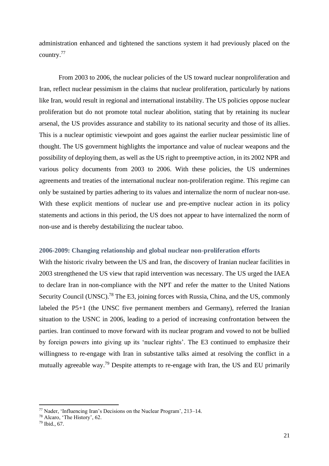administration enhanced and tightened the sanctions system it had previously placed on the country. 77

From 2003 to 2006, the nuclear policies of the US toward nuclear nonproliferation and Iran, reflect nuclear pessimism in the claims that nuclear proliferation, particularly by nations like Iran, would result in regional and international instability. The US policies oppose nuclear proliferation but do not promote total nuclear abolition, stating that by retaining its nuclear arsenal, the US provides assurance and stability to its national security and those of its allies. This is a nuclear optimistic viewpoint and goes against the earlier nuclear pessimistic line of thought. The US government highlights the importance and value of nuclear weapons and the possibility of deploying them, as well as the US right to preemptive action, in its 2002 NPR and various policy documents from 2003 to 2006. With these policies, the US undermines agreements and treaties of the international nuclear non-proliferation regime. This regime can only be sustained by parties adhering to its values and internalize the norm of nuclear non-use. With these explicit mentions of nuclear use and pre-emptive nuclear action in its policy statements and actions in this period, the US does not appear to have internalized the norm of non-use and is thereby destabilizing the nuclear taboo.

#### <span id="page-20-0"></span>**2006-2009: Changing relationship and global nuclear non-proliferation efforts**

With the historic rivalry between the US and Iran, the discovery of Iranian nuclear facilities in 2003 strengthened the US view that rapid intervention was necessary. The US urged the IAEA to declare Iran in non-compliance with the NPT and refer the matter to the United Nations Security Council (UNSC).<sup>78</sup> The E3, joining forces with Russia, China, and the US, commonly labeled the P5+1 (the UNSC five permanent members and Germany), referred the Iranian situation to the USNC in 2006, leading to a period of increasing confrontation between the parties. Iran continued to move forward with its nuclear program and vowed to not be bullied by foreign powers into giving up its 'nuclear rights'. The E3 continued to emphasize their willingness to re-engage with Iran in substantive talks aimed at resolving the conflict in a mutually agreeable way.<sup>79</sup> Despite attempts to re-engage with Iran, the US and EU primarily

<sup>77</sup> Nader, 'Influencing Iran's Decisions on the Nuclear Program', 213–14.

<sup>78</sup> Alcaro, 'The History', 62.

<sup>79</sup> Ibid., 67.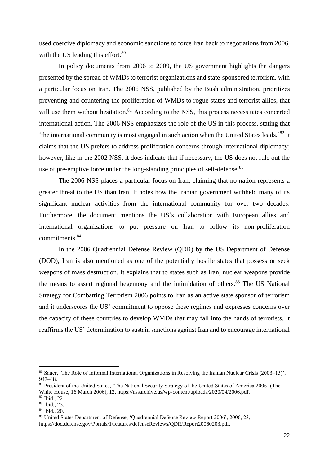used coercive diplomacy and economic sanctions to force Iran back to negotiations from 2006, with the US leading this effort. $80$ 

In policy documents from 2006 to 2009, the US government highlights the dangers presented by the spread of WMDs to terrorist organizations and state-sponsored terrorism, with a particular focus on Iran. The 2006 NSS, published by the Bush administration, prioritizes preventing and countering the proliferation of WMDs to rogue states and terrorist allies, that will use them without hesitation.<sup>81</sup> According to the NSS, this process necessitates concerted international action. The 2006 NSS emphasizes the role of the US in this process, stating that 'the international community is most engaged in such action when the United States leads.' <sup>82</sup> It claims that the US prefers to address proliferation concerns through international diplomacy; however, like in the 2002 NSS, it does indicate that if necessary, the US does not rule out the use of pre-emptive force under the long-standing principles of self-defense.<sup>83</sup>

The 2006 NSS places a particular focus on Iran, claiming that no nation represents a greater threat to the US than Iran. It notes how the Iranian government withheld many of its significant nuclear activities from the international community for over two decades. Furthermore, the document mentions the US's collaboration with European allies and international organizations to put pressure on Iran to follow its non-proliferation commitments. 84

In the 2006 Quadrennial Defense Review (QDR) by the US Department of Defense (DOD), Iran is also mentioned as one of the potentially hostile states that possess or seek weapons of mass destruction. It explains that to states such as Iran, nuclear weapons provide the means to assert regional hegemony and the intimidation of others.<sup>85</sup> The US National Strategy for Combatting Terrorism 2006 points to Iran as an active state sponsor of terrorism and it underscores the US' commitment to oppose these regimes and expresses concerns over the capacity of these countries to develop WMDs that may fall into the hands of terrorists. It reaffirms the US' determination to sustain sanctions against Iran and to encourage international

<sup>80</sup> Sauer, 'The Role of Informal International Organizations in Resolving the Iranian Nuclear Crisis (2003–15)', 947–48.

<sup>81</sup> President of the United States, 'The National Security Strategy of the United States of America 2006' (The White House, 16 March 2006), 12, https://nssarchive.us/wp-content/uploads/2020/04/2006.pdf.

<sup>82</sup> Ibid., 22.

<sup>83</sup> Ibid., 23. <sup>84</sup> Ibid., 20.

<sup>85</sup> United States Department of Defense, 'Quadrennial Defense Review Report 2006', 2006, 23, https://dod.defense.gov/Portals/1/features/defenseReviews/QDR/Report20060203.pdf.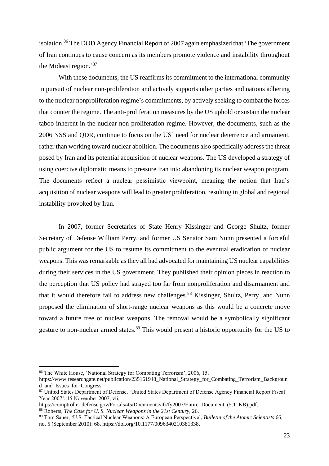isolation.<sup>86</sup> The DOD Agency Financial Report of 2007 again emphasized that 'The government of Iran continues to cause concern as its members promote violence and instability throughout the Mideast region.'<sup>87</sup>

With these documents, the US reaffirms its commitment to the international community in pursuit of nuclear non-proliferation and actively supports other parties and nations adhering to the nuclear nonproliferation regime's commitments, by actively seeking to combat the forces that counter the regime. The anti-proliferation measures by the US uphold or sustain the nuclear taboo inherent in the nuclear non-proliferation regime. However, the documents, such as the 2006 NSS and QDR, continue to focus on the US' need for nuclear deterrence and armament, rather than working toward nuclear abolition. The documents also specifically address the threat posed by Iran and its potential acquisition of nuclear weapons. The US developed a strategy of using coercive diplomatic means to pressure Iran into abandoning its nuclear weapon program. The documents reflect a nuclear pessimistic viewpoint, meaning the notion that Iran's acquisition of nuclear weapons will lead to greater proliferation, resulting in global and regional instability provoked by Iran.

In 2007, former Secretaries of State Henry Kissinger and George Shultz, former Secretary of Defense William Perry, and former US Senator Sam Nunn presented a forceful public argument for the US to resume its commitment to the eventual eradication of nuclear weapons. This was remarkable as they all had advocated for maintaining US nuclear capabilities during their services in the US government. They published their opinion pieces in reaction to the perception that US policy had strayed too far from nonproliferation and disarmament and that it would therefore fail to address new challenges.<sup>88</sup> Kissinger, Shultz, Perry, and Nunn proposed the elimination of short-range nuclear weapons as this would be a concrete move toward a future free of nuclear weapons. The removal would be a symbolically significant gesture to non-nuclear armed states.<sup>89</sup> This would present a historic opportunity for the US to

<sup>86</sup> The White House, 'National Strategy for Combating Terrorism', 2006, 15,

https://www.researchgate.net/publication/235161948\_National\_Strategy\_for\_Combating\_Terrorism\_Backgroun d and Issues for Congress.

<sup>87</sup> United States Department of Defense, 'United States Department of Defense Agency Financial Report Fiscal Year 2007', 15 November 2007, vii,

https://comptroller.defense.gov/Portals/45/Documents/afr/fy2007/Entire\_Document\_(5.1\_KB).pdf.

<sup>88</sup> Roberts, *The Case for U. S. Nuclear Weapons in the 21st Century*, 26.

<sup>89</sup> Tom Sauer, 'U.S. Tactical Nuclear Weapons: A European Perspective', *Bulletin of the Atomic Scientists* 66, no. 5 (September 2010): 68, https://doi.org/10.1177/0096340210381338.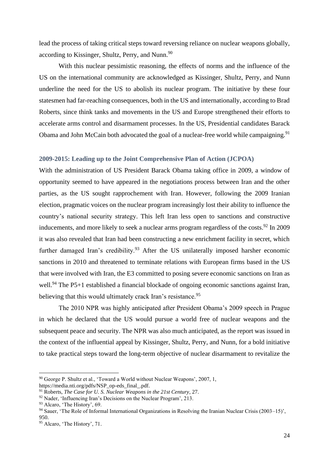lead the process of taking critical steps toward reversing reliance on nuclear weapons globally, according to Kissinger, Shultz, Perry, and Nunn.<sup>90</sup>

With this nuclear pessimistic reasoning, the effects of norms and the influence of the US on the international community are acknowledged as Kissinger, Shultz, Perry, and Nunn underline the need for the US to abolish its nuclear program. The initiative by these four statesmen had far-reaching consequences, both in the US and internationally, according to Brad Roberts, since think tanks and movements in the US and Europe strengthened their efforts to accelerate arms control and disarmament processes. In the US, Presidential candidates Barack Obama and John McCain both advocated the goal of a nuclear-free world while campaigning.<sup>91</sup>

#### <span id="page-23-0"></span>**2009-2015: Leading up to the Joint Comprehensive Plan of Action (JCPOA)**

With the administration of US President Barack Obama taking office in 2009, a window of opportunity seemed to have appeared in the negotiations process between Iran and the other parties, as the US sought rapprochement with Iran. However, following the 2009 Iranian election, pragmatic voices on the nuclear program increasingly lost their ability to influence the country's national security strategy. This left Iran less open to sanctions and constructive inducements, and more likely to seek a nuclear arms program regardless of the costs.<sup>92</sup> In 2009 it was also revealed that Iran had been constructing a new enrichment facility in secret, which further damaged Iran's credibility.<sup>93</sup> After the US unilaterally imposed harsher economic sanctions in 2010 and threatened to terminate relations with European firms based in the US that were involved with Iran, the E3 committed to posing severe economic sanctions on Iran as well.<sup>94</sup> The P5+1 established a financial blockade of ongoing economic sanctions against Iran, believing that this would ultimately crack Iran's resistance.<sup>95</sup>

The 2010 NPR was highly anticipated after President Obama's 2009 speech in Prague in which he declared that the US would pursue a world free of nuclear weapons and the subsequent peace and security. The NPR was also much anticipated, as the report was issued in the context of the influential appeal by Kissinger, Shultz, Perry, and Nunn, for a bold initiative to take practical steps toward the long-term objective of nuclear disarmament to revitalize the

<sup>90</sup> George P. Shultz et al., 'Toward a World without Nuclear Weapons', 2007, 1,

https://media.nti.org/pdfs/NSP\_op-eds\_final\_.pdf.

<sup>91</sup> Roberts, *The Case for U. S. Nuclear Weapons in the 21st Century*, 27.

 $92$  Nader, 'Influencing Iran's Decisions on the Nuclear Program', 213.

<sup>93</sup> Alcaro, 'The History', 69.

<sup>94</sup> Sauer, 'The Role of Informal International Organizations in Resolving the Iranian Nuclear Crisis (2003–15)', 950.

<sup>&</sup>lt;sup>95</sup> Alcaro, 'The History', 71.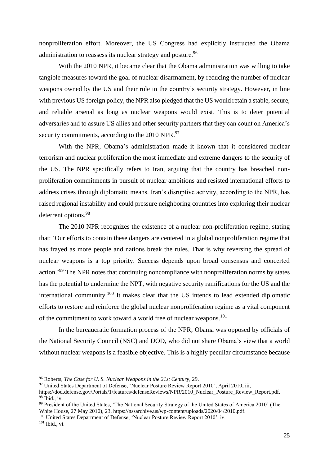nonproliferation effort. Moreover, the US Congress had explicitly instructed the Obama administration to reassess its nuclear strategy and posture.<sup>96</sup>

With the 2010 NPR, it became clear that the Obama administration was willing to take tangible measures toward the goal of nuclear disarmament, by reducing the number of nuclear weapons owned by the US and their role in the country's security strategy. However, in line with previous US foreign policy, the NPR also pledged that the US would retain a stable, secure, and reliable arsenal as long as nuclear weapons would exist. This is to deter potential adversaries and to assure US allies and other security partners that they can count on America's security commitments, according to the 2010 NPR.<sup>97</sup>

With the NPR, Obama's administration made it known that it considered nuclear terrorism and nuclear proliferation the most immediate and extreme dangers to the security of the US. The NPR specifically refers to Iran, arguing that the country has breached nonproliferation commitments in pursuit of nuclear ambitions and resisted international efforts to address crises through diplomatic means. Iran's disruptive activity, according to the NPR, has raised regional instability and could pressure neighboring countries into exploring their nuclear deterrent options.<sup>98</sup>

The 2010 NPR recognizes the existence of a nuclear non-proliferation regime, stating that: 'Our efforts to contain these dangers are centered in a global nonproliferation regime that has frayed as more people and nations break the rules. That is why reversing the spread of nuclear weapons is a top priority. Success depends upon broad consensus and concerted action.<sup>'99</sup> The NPR notes that continuing noncompliance with nonproliferation norms by states has the potential to undermine the NPT, with negative security ramifications for the US and the international community.<sup>100</sup> It makes clear that the US intends to lead extended diplomatic efforts to restore and reinforce the global nuclear nonproliferation regime as a vital component of the commitment to work toward a world free of nuclear weapons.<sup>101</sup>

In the bureaucratic formation process of the NPR, Obama was opposed by officials of the National Security Council (NSC) and DOD, who did not share Obama's view that a world without nuclear weapons is a feasible objective. This is a highly peculiar circumstance because

<sup>100</sup> United States Department of Defense, 'Nuclear Posture Review Report 2010', iv.

<sup>101</sup> Ibid., vi.

<sup>96</sup> Roberts, *The Case for U. S. Nuclear Weapons in the 21st Century*, 29.

<sup>97</sup> United States Department of Defense, 'Nuclear Posture Review Report 2010', April 2010, iii,

https://dod.defense.gov/Portals/1/features/defenseReviews/NPR/2010\_Nuclear\_Posture\_Review\_Report.pdf.  $98$  Ibid., iv.

<sup>&</sup>lt;sup>99</sup> President of the United States, 'The National Security Strategy of the United States of America 2010' (The White House, 27 May 2010), 23, https://nssarchive.us/wp-content/uploads/2020/04/2010.pdf.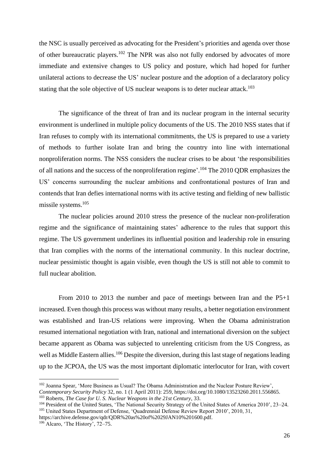the NSC is usually perceived as advocating for the President's priorities and agenda over those of other bureaucratic players.<sup>102</sup> The NPR was also not fully endorsed by advocates of more immediate and extensive changes to US policy and posture, which had hoped for further unilateral actions to decrease the US' nuclear posture and the adoption of a declaratory policy stating that the sole objective of US nuclear weapons is to deter nuclear attack.<sup>103</sup>

The significance of the threat of Iran and its nuclear program in the internal security environment is underlined in multiple policy documents of the US. The 2010 NSS states that if Iran refuses to comply with its international commitments, the US is prepared to use a variety of methods to further isolate Iran and bring the country into line with international nonproliferation norms. The NSS considers the nuclear crises to be about 'the responsibilities of all nations and the success of the nonproliferation regime'.<sup>104</sup> The 2010 QDR emphasizes the US' concerns surrounding the nuclear ambitions and confrontational postures of Iran and contends that Iran defies international norms with its active testing and fielding of new ballistic missile systems. 105

The nuclear policies around 2010 stress the presence of the nuclear non-proliferation regime and the significance of maintaining states' adherence to the rules that support this regime. The US government underlines its influential position and leadership role in ensuring that Iran complies with the norms of the international community. In this nuclear doctrine, nuclear pessimistic thought is again visible, even though the US is still not able to commit to full nuclear abolition.

From 2010 to 2013 the number and pace of meetings between Iran and the P5+1 increased. Even though this process was without many results, a better negotiation environment was established and Iran-US relations were improving. When the Obama administration resumed international negotiation with Iran, national and international diversion on the subject became apparent as Obama was subjected to unrelenting criticism from the US Congress, as well as Middle Eastern allies.<sup>106</sup> Despite the diversion, during this last stage of negations leading up to the JCPOA, the US was the most important diplomatic interlocutor for Iran, with covert

https://archive.defense.gov/qdr/QDR%20as%20of%2029JAN10%201600.pdf.

<sup>&</sup>lt;sup>102</sup> Joanna Spear, 'More Business as Usual? The Obama Administration and the Nuclear Posture Review',

*Contemporary Security Policy* 32, no. 1 (1 April 2011): 259, https://doi.org/10.1080/13523260.2011.556865. <sup>103</sup> Roberts, *The Case for U. S. Nuclear Weapons in the 21st Century*, 33.

<sup>&</sup>lt;sup>104</sup> President of the United States, 'The National Security Strategy of the United States of America 2010', 23-24. <sup>105</sup> United States Department of Defense, 'Quadrennial Defense Review Report 2010', 2010, 31,

<sup>106</sup> Alcaro, 'The History', 72–75.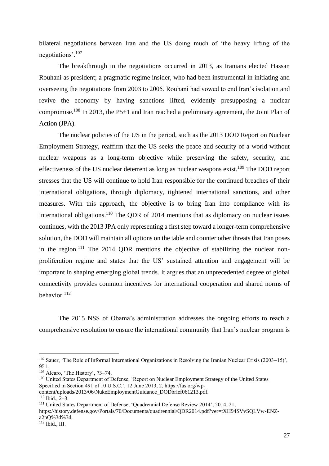bilateral negotiations between Iran and the US doing much of 'the heavy lifting of the negotiations'.<sup>107</sup>

The breakthrough in the negotiations occurred in 2013, as Iranians elected Hassan Rouhani as president; a pragmatic regime insider, who had been instrumental in initiating and overseeing the negotiations from 2003 to 2005. Rouhani had vowed to end Iran's isolation and revive the economy by having sanctions lifted, evidently presupposing a nuclear compromise.<sup>108</sup> In 2013, the P5+1 and Iran reached a preliminary agreement, the Joint Plan of Action (JPA).

The nuclear policies of the US in the period, such as the 2013 DOD Report on Nuclear Employment Strategy, reaffirm that the US seeks the peace and security of a world without nuclear weapons as a long-term objective while preserving the safety, security, and effectiveness of the US nuclear deterrent as long as nuclear weapons exist.<sup>109</sup> The DOD report stresses that the US will continue to hold Iran responsible for the continued breaches of their international obligations, through diplomacy, tightened international sanctions, and other measures. With this approach, the objective is to bring Iran into compliance with its international obligations.<sup>110</sup> The QDR of 2014 mentions that as diplomacy on nuclear issues continues, with the 2013 JPA only representing a first step toward a longer-term comprehensive solution, the DOD will maintain all options on the table and counter other threats that Iran poses in the region.<sup>111</sup> The 2014 QDR mentions the objective of stabilizing the nuclear nonproliferation regime and states that the US' sustained attention and engagement will be important in shaping emerging global trends. It argues that an unprecedented degree of global connectivity provides common incentives for international cooperation and shared norms of behavior.<sup>112</sup>

The 2015 NSS of Obama's administration addresses the ongoing efforts to reach a comprehensive resolution to ensure the international community that Iran's nuclear program is

https://history.defense.gov/Portals/70/Documents/quadrennial/QDR2014.pdf?ver=tXH94SVvSQLVw-ENZa2pQ%3d%3d.

<sup>&</sup>lt;sup>107</sup> Sauer, 'The Role of Informal International Organizations in Resolving the Iranian Nuclear Crisis (2003–15)', 951.

<sup>108</sup> Alcaro, 'The History', 73–74.

<sup>&</sup>lt;sup>109</sup> United States Department of Defense, 'Report on Nuclear Employment Strategy of the United States Specified in Section 491 of 10 U.S.C.', 12 June 2013, 2, https://fas.org/wp-

content/uploads/2013/06/NukeEmploymentGuidance\_DODbrief061213.pdf.

<sup>110</sup> Ibid., 2–3.

<sup>111</sup> United States Department of Defense, 'Quadrennial Defense Review 2014', 2014, 21,

 $112$  Ibid., III.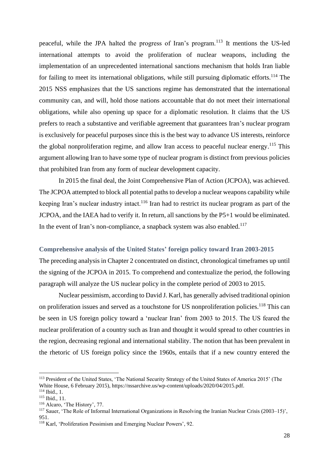peaceful, while the JPA halted the progress of Iran's program.<sup>113</sup> It mentions the US-led international attempts to avoid the proliferation of nuclear weapons, including the implementation of an unprecedented international sanctions mechanism that holds Iran liable for failing to meet its international obligations, while still pursuing diplomatic efforts.<sup>114</sup> The 2015 NSS emphasizes that the US sanctions regime has demonstrated that the international community can, and will, hold those nations accountable that do not meet their international obligations, while also opening up space for a diplomatic resolution. It claims that the US prefers to reach a substantive and verifiable agreement that guarantees Iran's nuclear program is exclusively for peaceful purposes since this is the best way to advance US interests, reinforce the global nonproliferation regime, and allow Iran access to peaceful nuclear energy.<sup>115</sup> This argument allowing Iran to have some type of nuclear program is distinct from previous policies that prohibited Iran from any form of nuclear development capacity.

In 2015 the final deal, the Joint Comprehensive Plan of Action (JCPOA), was achieved. The JCPOA attempted to block all potential paths to develop a nuclear weapons capability while keeping Iran's nuclear industry intact.<sup>116</sup> Iran had to restrict its nuclear program as part of the JCPOA, and the IAEA had to verify it. In return, all sanctions by the P5+1 would be eliminated. In the event of Iran's non-compliance, a snapback system was also enabled.<sup>117</sup>

#### <span id="page-27-0"></span>**Comprehensive analysis of the United States' foreign policy toward Iran 2003-2015**

The preceding analysis in Chapter 2 concentrated on distinct, chronological timeframes up until the signing of the JCPOA in 2015. To comprehend and contextualize the period, the following paragraph will analyze the US nuclear policy in the complete period of 2003 to 2015.

Nuclear pessimism, according to David J. Karl, has generally advised traditional opinion on proliferation issues and served as a touchstone for US nonproliferation policies.<sup>118</sup> This can be seen in US foreign policy toward a 'nuclear Iran' from 2003 to 2015. The US feared the nuclear proliferation of a country such as Iran and thought it would spread to other countries in the region, decreasing regional and international stability. The notion that has been prevalent in the rhetoric of US foreign policy since the 1960s, entails that if a new country entered the

<sup>113</sup> President of the United States, 'The National Security Strategy of the United States of America 2015' (The White House, 6 February 2015), https://nssarchive.us/wp-content/uploads/2020/04/2015.pdf.

 $114$  Ibid., 1.

<sup>115</sup> Ibid., 11.

<sup>116</sup> Alcaro, 'The History', 77.

 $117$  Sauer, 'The Role of Informal International Organizations in Resolving the Iranian Nuclear Crisis (2003–15)', 951.

<sup>118</sup> Karl, 'Proliferation Pessimism and Emerging Nuclear Powers', 92.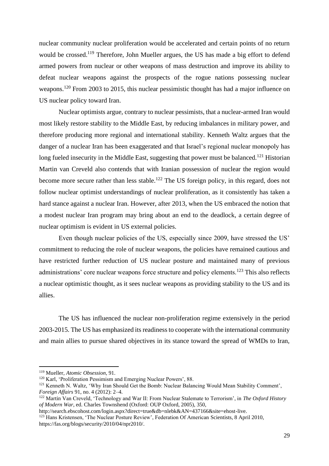nuclear community nuclear proliferation would be accelerated and certain points of no return would be crossed.<sup>119</sup> Therefore, John Mueller argues, the US has made a big effort to defend armed powers from nuclear or other weapons of mass destruction and improve its ability to defeat nuclear weapons against the prospects of the rogue nations possessing nuclear weapons.<sup>120</sup> From 2003 to 2015, this nuclear pessimistic thought has had a major influence on US nuclear policy toward Iran.

Nuclear optimists argue, contrary to nuclear pessimists, that a nuclear-armed Iran would most likely restore stability to the Middle East, by reducing imbalances in military power, and therefore producing more regional and international stability. Kenneth Waltz argues that the danger of a nuclear Iran has been exaggerated and that Israel's regional nuclear monopoly has long fueled insecurity in the Middle East, suggesting that power must be balanced.<sup>121</sup> Historian Martin van Creveld also contends that with Iranian possession of nuclear the region would become more secure rather than less stable.<sup>122</sup> The US foreign policy, in this regard, does not follow nuclear optimist understandings of nuclear proliferation, as it consistently has taken a hard stance against a nuclear Iran. However, after 2013, when the US embraced the notion that a modest nuclear Iran program may bring about an end to the deadlock, a certain degree of nuclear optimism is evident in US external policies.

Even though nuclear policies of the US, especially since 2009, have stressed the US' commitment to reducing the role of nuclear weapons, the policies have remained cautious and have restricted further reduction of US nuclear posture and maintained many of previous administrations' core nuclear weapons force structure and policy elements.<sup>123</sup> This also reflects a nuclear optimistic thought, as it sees nuclear weapons as providing stability to the US and its allies.

The US has influenced the nuclear non-proliferation regime extensively in the period 2003-2015. The US has emphasized its readiness to cooperate with the international community and main allies to pursue shared objectives in its stance toward the spread of WMDs to Iran,

http://search.ebscohost.com/login.aspx?direct=true&db=nlebk&AN=437166&site=ehost-live.

<sup>119</sup> Mueller, *Atomic Obsession*, 91.

<sup>&</sup>lt;sup>120</sup> Karl, 'Proliferation Pessimism and Emerging Nuclear Powers', 88.

<sup>121</sup> Kenneth N. Waltz, 'Why Iran Should Get the Bomb: Nuclear Balancing Would Mean Stability Comment', *Foreign Affairs* 91, no. 4 (2012): 2–4.

<sup>122</sup> Martin Van Creveld, 'Technology and War II: From Nuclear Stalemate to Terrorism', in *The Oxford History of Modern War*, ed. Charles Townshend (Oxford: OUP Oxford, 2005), 350,

<sup>&</sup>lt;sup>123</sup> Hans Kristensen, 'The Nuclear Posture Review', Federation Of American Scientists, 8 April 2010, https://fas.org/blogs/security/2010/04/npr2010/.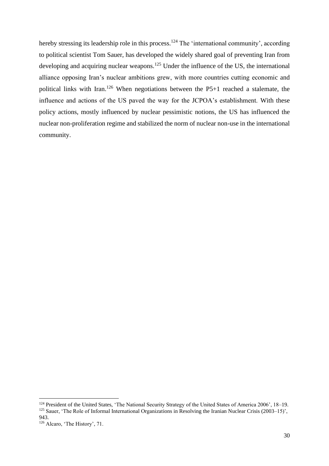hereby stressing its leadership role in this process.<sup>124</sup> The 'international community', according to political scientist Tom Sauer, has developed the widely shared goal of preventing Iran from developing and acquiring nuclear weapons.<sup>125</sup> Under the influence of the US, the international alliance opposing Iran's nuclear ambitions grew, with more countries cutting economic and political links with Iran.<sup>126</sup> When negotiations between the  $P5+1$  reached a stalemate, the influence and actions of the US paved the way for the JCPOA's establishment. With these policy actions, mostly influenced by nuclear pessimistic notions, the US has influenced the nuclear non-proliferation regime and stabilized the norm of nuclear non-use in the international community.

<sup>124</sup> President of the United States, 'The National Security Strategy of the United States of America 2006', 18-19. <sup>125</sup> Sauer, 'The Role of Informal International Organizations in Resolving the Iranian Nuclear Crisis (2003–15)', 943.

<sup>126</sup> Alcaro, 'The History', 71.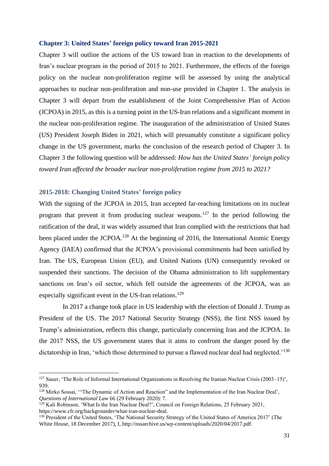#### <span id="page-30-0"></span>**Chapter 3: United States' foreign policy toward Iran 2015-2021**

Chapter 3 will outline the actions of the US toward Iran in reaction to the developments of Iran's nuclear program in the period of 2015 to 2021. Furthermore, the effects of the foreign policy on the nuclear non-proliferation regime will be assessed by using the analytical approaches to nuclear non-proliferation and non-use provided in Chapter 1. The analysis in Chapter 3 will depart from the establishment of the Joint Comprehensive Plan of Action (JCPOA) in 2015, as this is a turning point in the US-Iran relations and a significant moment in the nuclear non-proliferation regime. The inauguration of the administration of United States (US) President Joseph Biden in 2021, which will presumably constitute a significant policy change in the US government, marks the conclusion of the research period of Chapter 3. In Chapter 3 the following question will be addressed: *How has the United States' foreign policy toward Iran affected the broader nuclear non-proliferation regime from 2015 to 2021?*

## <span id="page-30-1"></span>**2015-2018: Changing United States' foreign policy**

With the signing of the JCPOA in 2015, Iran accepted far-reaching limitations on its nuclear program that prevent it from producing nuclear weapons.<sup>127</sup> In the period following the ratification of the deal, it was widely assumed that Iran complied with the restrictions that had been placed under the JCPOA.<sup>128</sup> At the beginning of 2016, the International Atomic Energy Agency (IAEA) confirmed that the JCPOA's provisional commitments had been satisfied by Iran. The US, European Union (EU), and United Nations (UN) consequently revoked or suspended their sanctions. The decision of the Obama administration to lift supplementary sanctions on Iran's oil sector, which fell outside the agreements of the JCPOA, was an especially significant event in the US-Iran relations.<sup>129</sup>

In 2017 a change took place in US leadership with the election of Donald J. Trump as President of the US. The 2017 National Security Strategy (NSS), the first NSS issued by Trump's administration, reflects this change, particularly concerning Iran and the JCPOA. In the 2017 NSS, the US government states that it aims to confront the danger posed by the dictatorship in Iran, 'which those determined to pursue a flawed nuclear deal had neglected.'<sup>130</sup>

<sup>&</sup>lt;sup>127</sup> Sauer, 'The Role of Informal International Organizations in Resolving the Iranian Nuclear Crisis (2003–15)', 939.

<sup>128</sup> Mirko Sossai, '"The Dynamic of Action and Reaction" and the Implementation of the Iran Nuclear Deal', *Questions of International Law* 66 (29 February 2020): 7.

<sup>129</sup> Kali Robinson, 'What Is the Iran Nuclear Deal?', Council on Foreign Relations, 25 February 2021, https://www.cfr.org/backgrounder/what-iran-nuclear-deal.

<sup>&</sup>lt;sup>130</sup> President of the United States, 'The National Security Strategy of the United States of America 2017' (The White House, 18 December 2017), I, http://nssarchive.us/wp-content/uploads/2020/04/2017.pdf.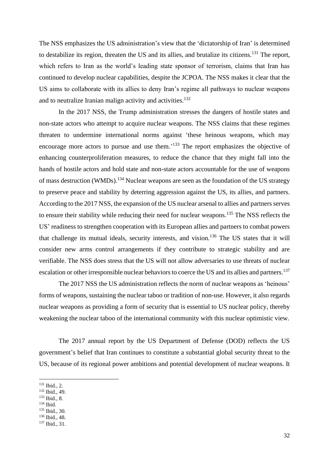The NSS emphasizes the US administration's view that the 'dictatorship of Iran' is determined to destabilize its region, threaten the US and its allies, and brutalize its citizens.<sup>131</sup> The report, which refers to Iran as the world's leading state sponsor of terrorism, claims that Iran has continued to develop nuclear capabilities, despite the JCPOA. The NSS makes it clear that the US aims to collaborate with its allies to deny Iran's regime all pathways to nuclear weapons and to neutralize Iranian malign activity and activities.<sup>132</sup>

In the 2017 NSS, the Trump administration stresses the dangers of hostile states and non-state actors who attempt to acquire nuclear weapons. The NSS claims that these regimes threaten to undermine international norms against 'these heinous weapons, which may encourage more actors to pursue and use them.<sup>'133</sup> The report emphasizes the objective of enhancing counterproliferation measures, to reduce the chance that they might fall into the hands of hostile actors and hold state and non-state actors accountable for the use of weapons of mass destruction (WMDs).<sup>134</sup> Nuclear weapons are seen as the foundation of the US strategy to preserve peace and stability by deterring aggression against the US, its allies, and partners. According to the 2017 NSS, the expansion of the US nuclear arsenal to allies and partners serves to ensure their stability while reducing their need for nuclear weapons.<sup>135</sup> The NSS reflects the US' readiness to strengthen cooperation with its European allies and partners to combat powers that challenge its mutual ideals, security interests, and vision. <sup>136</sup> The US states that it will consider new arms control arrangements if they contribute to strategic stability and are verifiable. The NSS does stress that the US will not allow adversaries to use threats of nuclear escalation or other irresponsible nuclear behaviors to coerce the US and its allies and partners.<sup>137</sup>

The 2017 NSS the US administration reflects the norm of nuclear weapons as 'heinous' forms of weapons, sustaining the nuclear taboo or tradition of non-use. However, it also regards nuclear weapons as providing a form of security that is essential to US nuclear policy, thereby weakening the nuclear taboo of the international community with this nuclear optimistic view.

The 2017 annual report by the US Department of Defense (DOD) reflects the US government's belief that Iran continues to constitute a substantial global security threat to the US, because of its regional power ambitions and potential development of nuclear weapons. It

- <sup>132</sup> Ibid., 49.
- <sup>133</sup> Ibid., 8.

- <sup>135</sup> Ibid., 30.
- <sup>136</sup> Ibid., 48.
- <sup>137</sup> Ibid., 31.

<sup>131</sup> Ibid., 2.

<sup>134</sup> Ibid.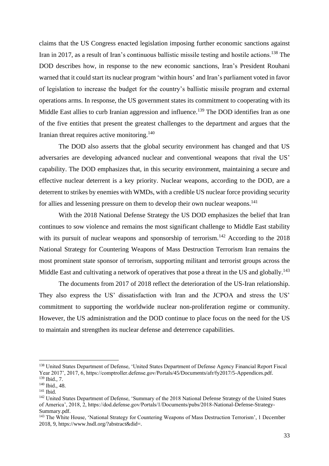claims that the US Congress enacted legislation imposing further economic sanctions against Iran in 2017, as a result of Iran's continuous ballistic missile testing and hostile actions.<sup>138</sup> The DOD describes how, in response to the new economic sanctions, Iran's President Rouhani warned that it could start its nuclear program 'within hours' and Iran's parliament voted in favor of legislation to increase the budget for the country's ballistic missile program and external operations arms. In response, the US government states its commitment to cooperating with its Middle East allies to curb Iranian aggression and influence.<sup>139</sup> The DOD identifies Iran as one of the five entities that present the greatest challenges to the department and argues that the Iranian threat requires active monitoring.<sup>140</sup>

The DOD also asserts that the global security environment has changed and that US adversaries are developing advanced nuclear and conventional weapons that rival the US' capability. The DOD emphasizes that, in this security environment, maintaining a secure and effective nuclear deterrent is a key priority. Nuclear weapons, according to the DOD, are a deterrent to strikes by enemies with WMDs, with a credible US nuclear force providing security for allies and lessening pressure on them to develop their own nuclear weapons.<sup>141</sup>

With the 2018 National Defense Strategy the US DOD emphasizes the belief that Iran continues to sow violence and remains the most significant challenge to Middle East stability with its pursuit of nuclear weapons and sponsorship of terrorism.<sup>142</sup> According to the  $2018$ National Strategy for Countering Weapons of Mass Destruction Terrorism Iran remains the most prominent state sponsor of terrorism, supporting militant and terrorist groups across the Middle East and cultivating a network of operatives that pose a threat in the US and globally.<sup>143</sup>

The documents from 2017 of 2018 reflect the deterioration of the US-Iran relationship. They also express the US' dissatisfaction with Iran and the JCPOA and stress the US' commitment to supporting the worldwide nuclear non-proliferation regime or community. However, the US administration and the DOD continue to place focus on the need for the US to maintain and strengthen its nuclear defense and deterrence capabilities.

<sup>138</sup> United States Department of Defense, 'United States Department of Defense Agency Financial Report Fiscal Year 2017', 2017, 6, https://comptroller.defense.gov/Portals/45/Documents/afr/fy2017/5-Appendices.pdf. <sup>139</sup> Ibid., 7.

<sup>140</sup> Ibid., 48.

<sup>141</sup> Ibid.

<sup>&</sup>lt;sup>142</sup> United States Department of Defense, 'Summary of the 2018 National Defense Strategy of the United States of America', 2018, 2, https://dod.defense.gov/Portals/1/Documents/pubs/2018-National-Defense-Strategy-Summary.pdf.

<sup>&</sup>lt;sup>143</sup> The White House, 'National Strategy for Countering Weapons of Mass Destruction Terrorism', 1 December 2018, 9, https://www.hsdl.org/?abstract&did=.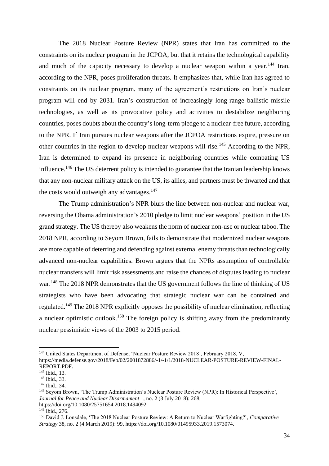The 2018 Nuclear Posture Review (NPR) states that Iran has committed to the constraints on its nuclear program in the JCPOA, but that it retains the technological capability and much of the capacity necessary to develop a nuclear weapon within a year.<sup>144</sup> Iran, according to the NPR, poses proliferation threats. It emphasizes that, while Iran has agreed to constraints on its nuclear program, many of the agreement's restrictions on Iran's nuclear program will end by 2031. Iran's construction of increasingly long-range ballistic missile technologies, as well as its provocative policy and activities to destabilize neighboring countries, poses doubts about the country's long-term pledge to a nuclear-free future, according to the NPR. If Iran pursues nuclear weapons after the JCPOA restrictions expire, pressure on other countries in the region to develop nuclear weapons will rise.<sup>145</sup> According to the NPR, Iran is determined to expand its presence in neighboring countries while combating US influence.<sup>146</sup> The US deterrent policy is intended to guarantee that the Iranian leadership knows that any non-nuclear military attack on the US, its allies, and partners must be thwarted and that the costs would outweigh any advantages. $147$ 

The Trump administration's NPR blurs the line between non-nuclear and nuclear war, reversing the Obama administration's 2010 pledge to limit nuclear weapons' position in the US grand strategy. The US thereby also weakens the norm of nuclear non-use or nuclear taboo. The 2018 NPR, according to Seyom Brown, fails to demonstrate that modernized nuclear weapons are more capable of deterring and defending against external enemy threats than technologically advanced non-nuclear capabilities. Brown argues that the NPRs assumption of controllable nuclear transfers will limit risk assessments and raise the chances of disputes leading to nuclear war.<sup>148</sup> The 2018 NPR demonstrates that the US government follows the line of thinking of US strategists who have been advocating that strategic nuclear war can be contained and regulated.<sup>149</sup> The 2018 NPR explicitly opposes the possibility of nuclear elimination, reflecting a nuclear optimistic outlook.<sup>150</sup> The foreign policy is shifting away from the predominantly nuclear pessimistic views of the 2003 to 2015 period.

<sup>&</sup>lt;sup>144</sup> United States Department of Defense, 'Nuclear Posture Review 2018', February 2018, V, https://media.defense.gov/2018/Feb/02/2001872886/-1/-1/1/2018-NUCLEAR-POSTURE-REVIEW-FINAL-REPORT.PDF.

<sup>145</sup> Ibid., 13.

<sup>146</sup> Ibid., 33.

<sup>147</sup> Ibid., 34.

<sup>148</sup> Seyom Brown, 'The Trump Administration's Nuclear Posture Review (NPR): In Historical Perspective', *Journal for Peace and Nuclear Disarmament* 1, no. 2 (3 July 2018): 268, https://doi.org/10.1080/25751654.2018.1494092.

<sup>149</sup> Ibid., 276.

<sup>150</sup> David J. Lonsdale, 'The 2018 Nuclear Posture Review: A Return to Nuclear Warfighting?', *Comparative Strategy* 38, no. 2 (4 March 2019): 99, https://doi.org/10.1080/01495933.2019.1573074.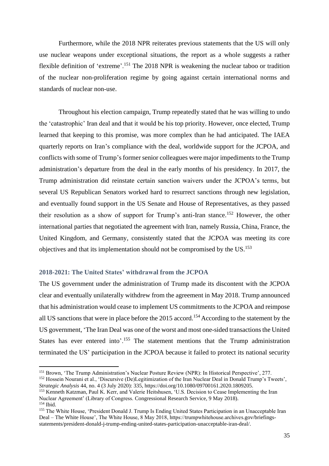Furthermore, while the 2018 NPR reiterates previous statements that the US will only use nuclear weapons under exceptional situations, the report as a whole suggests a rather flexible definition of 'extreme'.<sup>151</sup> The 2018 NPR is weakening the nuclear taboo or tradition of the nuclear non-proliferation regime by going against certain international norms and standards of nuclear non-use.

Throughout his election campaign, Trump repeatedly stated that he was willing to undo the 'catastrophic' Iran deal and that it would be his top priority. However, once elected, Trump learned that keeping to this promise, was more complex than he had anticipated. The IAEA quarterly reports on Iran's compliance with the deal, worldwide support for the JCPOA, and conflicts with some of Trump's former senior colleagues were major impediments to the Trump administration's departure from the deal in the early months of his presidency. In 2017, the Trump administration did reinstate certain sanction waivers under the JCPOA's terms, but several US Republican Senators worked hard to resurrect sanctions through new legislation, and eventually found support in the US Senate and House of Representatives, as they passed their resolution as a show of support for Trump's anti-Iran stance.<sup>152</sup> However, the other international parties that negotiated the agreement with Iran, namely Russia, China, France, the United Kingdom, and Germany, consistently stated that the JCPOA was meeting its core objectives and that its implementation should not be compromised by the US.<sup>153</sup>

## <span id="page-34-0"></span>**2018-2021: The United States' withdrawal from the JCPOA**

The US government under the administration of Trump made its discontent with the JCPOA clear and eventually unilaterally withdrew from the agreement in May 2018. Trump announced that his administration would cease to implement US commitments to the JCPOA and reimpose all US sanctions that were in place before the 2015 accord.<sup>154</sup> According to the statement by the US government, 'The Iran Deal was one of the worst and most one-sided transactions the United States has ever entered into'.<sup>155</sup> The statement mentions that the Trump administration terminated the US' participation in the JCPOA because it failed to protect its national security

<sup>151</sup> Brown, 'The Trump Administration's Nuclear Posture Review (NPR): In Historical Perspective', 277. <sup>152</sup> Hossein Nourani et al., 'Discursive (De)Legitimization of the Iran Nuclear Deal in Donald Trump's Tweets',

*Strategic Analysis* 44, no. 4 (3 July 2020): 335, https://doi.org/10.1080/09700161.2020.1809205.

<sup>&</sup>lt;sup>153</sup> Kenneth Katzman, Paul K. Kerr, and Valerie Heitshusen, 'U.S. Decision to Cease Implementing the Iran Nuclear Agreement' (Library of Congress. Congressional Research Service, 9 May 2018). <sup>154</sup> Ibid.

<sup>&</sup>lt;sup>155</sup> The White House, 'President Donald J. Trump Is Ending United States Participation in an Unacceptable Iran Deal – The White House', The White House, 8 May 2018, https://trumpwhitehouse.archives.gov/briefingsstatements/president-donald-j-trump-ending-united-states-participation-unacceptable-iran-deal/.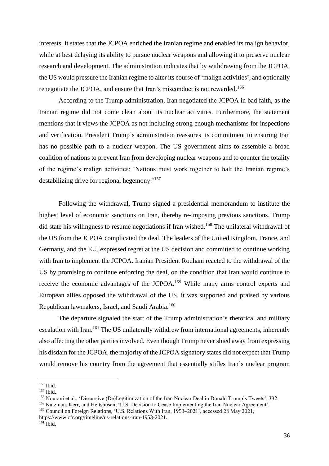interests. It states that the JCPOA enriched the Iranian regime and enabled its malign behavior, while at best delaying its ability to pursue nuclear weapons and allowing it to preserve nuclear research and development. The administration indicates that by withdrawing from the JCPOA, the US would pressure the Iranian regime to alter its course of 'malign activities', and optionally renegotiate the JCPOA, and ensure that Iran's misconduct is not rewarded.<sup>156</sup>

According to the Trump administration, Iran negotiated the JCPOA in bad faith, as the Iranian regime did not come clean about its nuclear activities. Furthermore, the statement mentions that it views the JCPOA as not including strong enough mechanisms for inspections and verification. President Trump's administration reassures its commitment to ensuring Iran has no possible path to a nuclear weapon. The US government aims to assemble a broad coalition of nations to prevent Iran from developing nuclear weapons and to counter the totality of the regime's malign activities: 'Nations must work together to halt the Iranian regime's destabilizing drive for regional hegemony.'<sup>157</sup>

Following the withdrawal, Trump signed a presidential memorandum to institute the highest level of economic sanctions on Iran, thereby re-imposing previous sanctions. Trump did state his willingness to resume negotiations if Iran wished.<sup>158</sup> The unilateral withdrawal of the US from the JCPOA complicated the deal. The leaders of the United Kingdom, France, and Germany, and the EU, expressed regret at the US decision and committed to continue working with Iran to implement the JCPOA. Iranian President Rouhani reacted to the withdrawal of the US by promising to continue enforcing the deal, on the condition that Iran would continue to receive the economic advantages of the JCPOA.<sup>159</sup> While many arms control experts and European allies opposed the withdrawal of the US, it was supported and praised by various Republican lawmakers, Israel, and Saudi Arabia.<sup>160</sup>

The departure signaled the start of the Trump administration's rhetorical and military escalation with Iran.<sup>161</sup> The US unilaterally withdrew from international agreements, inherently also affecting the other parties involved. Even though Trump never shied away from expressing his disdain for the JCPOA, the majority of the JCPOA signatory states did not expect that Trump would remove his country from the agreement that essentially stifles Iran's nuclear program

<sup>156</sup> Ibid.

<sup>&</sup>lt;sup>157</sup> Ibid.

<sup>&</sup>lt;sup>158</sup> Nourani et al., 'Discursive (De)Legitimization of the Iran Nuclear Deal in Donald Trump's Tweets', 332.

<sup>159</sup> Katzman, Kerr, and Heitshusen, 'U.S. Decision to Cease Implementing the Iran Nuclear Agreement'.

<sup>&</sup>lt;sup>160</sup> Council on Foreign Relations, 'U.S. Relations With Iran, 1953–2021', accessed 28 May 2021, https://www.cfr.org/timeline/us-relations-iran-1953-2021.

 $161$  Ibid.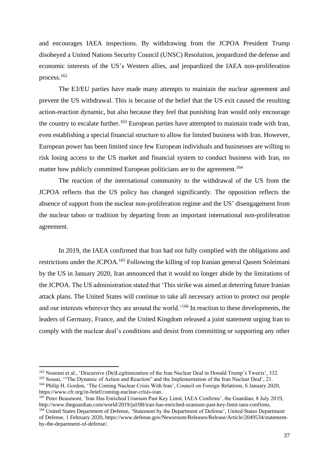and encourages IAEA inspections. By withdrawing from the JCPOA President Trump disobeyed a United Nations Security Council (UNSC) Resolution, jeopardized the defense and economic interests of the US's Western allies, and jeopardized the IAEA non-proliferation process.<sup>162</sup>

The E3/EU parties have made many attempts to maintain the nuclear agreement and prevent the US withdrawal. This is because of the belief that the US exit caused the resulting action-reaction dynamic, but also because they feel that punishing Iran would only encourage the country to escalate further.<sup>163</sup> European parties have attempted to maintain trade with Iran, even establishing a special financial structure to allow for limited business with Iran. However, European power has been limited since few European individuals and businesses are willing to risk losing access to the US market and financial system to conduct business with Iran, no matter how publicly committed European politicians are to the agreement.<sup>164</sup>

The reaction of the international community to the withdrawal of the US from the JCPOA reflects that the US policy has changed significantly. The opposition reflects the absence of support from the nuclear non-proliferation regime and the US' disengagement from the nuclear taboo or tradition by departing from an important international non-proliferation agreement.

In 2019, the IAEA confirmed that Iran had not fully complied with the obligations and restrictions under the JCPOA.<sup>165</sup> Following the killing of top Iranian general Qasem Soleimani by the US in January 2020, Iran announced that it would no longer abide by the limitations of the JCPOA. The US administration stated that 'This strike was aimed at deterring future Iranian attack plans. The United States will continue to take all necessary action to protect our people and our interests wherever they are around the world.<sup>166</sup> In reaction to these developments, the leaders of Germany, France, and the United Kingdom released a joint statement urging Iran to comply with the nuclear deal's conditions and desist from committing or supporting any other

<sup>162</sup> Nourani et al., 'Discursive (De)Legitimization of the Iran Nuclear Deal in Donald Trump's Tweets', 332.

<sup>163</sup> Sossai, '"The Dynamic of Action and Reaction" and the Implementation of the Iran Nuclear Deal', 21. <sup>164</sup> Philip H. Gordon, 'The Coming Nuclear Crisis With Iran', Council on Foreign Relations, 6 January 2020, https://www.cfr.org/in-brief/coming-nuclear-crisis-iran.

<sup>&</sup>lt;sup>165</sup> Peter Beaumont, 'Iran Has Enriched Uranium Past Key Limit, IAEA Confirms', the Guardian, 8 July 2019, http://www.theguardian.com/world/2019/jul/08/iran-has-enriched-uranium-past-key-limit-iaea-confirms.

<sup>&</sup>lt;sup>166</sup> United States Department of Defense, 'Statement by the Department of Defense', United States Department of Defense, 1 February 2020, https://www.defense.gov/Newsroom/Releases/Release/Article/2049534/statementby-the-department-of-defense/.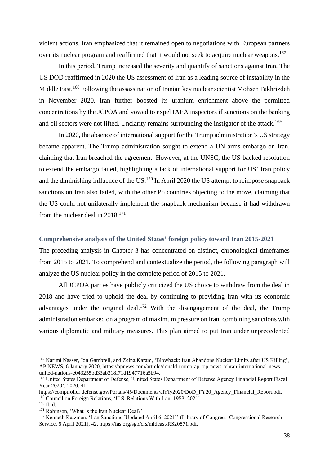violent actions. Iran emphasized that it remained open to negotiations with European partners over its nuclear program and reaffirmed that it would not seek to acquire nuclear weapons.<sup>167</sup>

In this period, Trump increased the severity and quantify of sanctions against Iran. The US DOD reaffirmed in 2020 the US assessment of Iran as a leading source of instability in the Middle East.<sup>168</sup> Following the assassination of Iranian key nuclear scientist Mohsen Fakhrizdeh in November 2020, Iran further boosted its uranium enrichment above the permitted concentrations by the JCPOA and vowed to expel IAEA inspectors if sanctions on the banking and oil sectors were not lifted. Unclarity remains surrounding the instigator of the attack.<sup>169</sup>

In 2020, the absence of international support for the Trump administration's US strategy became apparent. The Trump administration sought to extend a UN arms embargo on Iran, claiming that Iran breached the agreement. However, at the UNSC, the US-backed resolution to extend the embargo failed, highlighting a lack of international support for US' Iran policy and the diminishing influence of the US.<sup>170</sup> In April 2020 the US attempt to reimpose snapback sanctions on Iran also failed, with the other P5 countries objecting to the move, claiming that the US could not unilaterally implement the snapback mechanism because it had withdrawn from the nuclear deal in 2018.<sup>171</sup>

## <span id="page-37-0"></span>**Comprehensive analysis of the United States' foreign policy toward Iran 2015-2021**

The preceding analysis in Chapter 3 has concentrated on distinct, chronological timeframes from 2015 to 2021. To comprehend and contextualize the period, the following paragraph will analyze the US nuclear policy in the complete period of 2015 to 2021.

All JCPOA parties have publicly criticized the US choice to withdraw from the deal in 2018 and have tried to uphold the deal by continuing to providing Iran with its economic advantages under the original deal.<sup>172</sup> With the disengagement of the deal, the Trump administration embarked on a program of maximum pressure on Iran, combining sanctions with various diplomatic and military measures. This plan aimed to put Iran under unprecedented

<sup>&</sup>lt;sup>167</sup> Karimi Nasser, Jon Gambrell, and Zeina Karam, 'Blowback: Iran Abandons Nuclear Limits after US Killing', AP NEWS, 6 January 2020, https://apnews.com/article/donald-trump-ap-top-news-tehran-international-newsunited-nations-e043255bd33ab318f71d1947716a5b94.

<sup>168</sup> United States Department of Defense, 'United States Department of Defense Agency Financial Report Fiscal Year 2020', 2020, 41,

https://comptroller.defense.gov/Portals/45/Documents/afr/fy2020/DoD\_FY20\_Agency\_Financial\_Report.pdf. <sup>169</sup> Council on Foreign Relations, 'U.S. Relations With Iran, 1953–2021'.

<sup>170</sup> Ibid.

<sup>&</sup>lt;sup>171</sup> Robinson, 'What Is the Iran Nuclear Deal?'

<sup>&</sup>lt;sup>172</sup> Kenneth Katzman, 'Iran Sanctions [Updated April 6, 2021]' (Library of Congress. Congressional Research Service, 6 April 2021), 42, https://fas.org/sgp/crs/mideast/RS20871.pdf.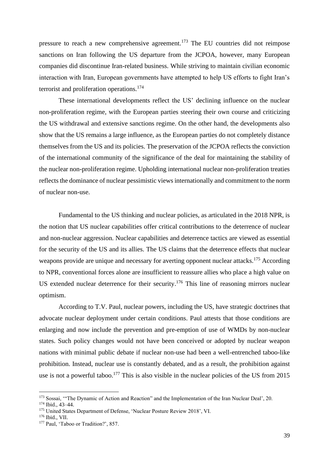pressure to reach a new comprehensive agreement.<sup>173</sup> The EU countries did not reimpose sanctions on Iran following the US departure from the JCPOA, however, many European companies did discontinue Iran-related business. While striving to maintain civilian economic interaction with Iran, European governments have attempted to help US efforts to fight Iran's terrorist and proliferation operations.<sup>174</sup>

These international developments reflect the US' declining influence on the nuclear non-proliferation regime, with the European parties steering their own course and criticizing the US withdrawal and extensive sanctions regime. On the other hand, the developments also show that the US remains a large influence, as the European parties do not completely distance themselves from the US and its policies. The preservation of the JCPOA reflects the conviction of the international community of the significance of the deal for maintaining the stability of the nuclear non-proliferation regime. Upholding international nuclear non-proliferation treaties reflects the dominance of nuclear pessimistic views internationally and commitment to the norm of nuclear non-use.

Fundamental to the US thinking and nuclear policies, as articulated in the 2018 NPR, is the notion that US nuclear capabilities offer critical contributions to the deterrence of nuclear and non-nuclear aggression. Nuclear capabilities and deterrence tactics are viewed as essential for the security of the US and its allies. The US claims that the deterrence effects that nuclear weapons provide are unique and necessary for averting opponent nuclear attacks.<sup>175</sup> According to NPR, conventional forces alone are insufficient to reassure allies who place a high value on US extended nuclear deterrence for their security.<sup>176</sup> This line of reasoning mirrors nuclear optimism.

According to T.V. Paul, nuclear powers, including the US, have strategic doctrines that advocate nuclear deployment under certain conditions. Paul attests that those conditions are enlarging and now include the prevention and pre-emption of use of WMDs by non-nuclear states. Such policy changes would not have been conceived or adopted by nuclear weapon nations with minimal public debate if nuclear non-use had been a well-entrenched taboo-like prohibition. Instead, nuclear use is constantly debated, and as a result, the prohibition against use is not a powerful taboo.<sup>177</sup> This is also visible in the nuclear policies of the US from 2015

<sup>&</sup>lt;sup>173</sup> Sossai, "The Dynamic of Action and Reaction" and the Implementation of the Iran Nuclear Deal', 20.

<sup>174</sup> Ibid., 43–44.

<sup>&</sup>lt;sup>175</sup> United States Department of Defense, 'Nuclear Posture Review 2018', VI.

<sup>176</sup> Ibid., VII.

<sup>177</sup> Paul, 'Taboo or Tradition?', 857.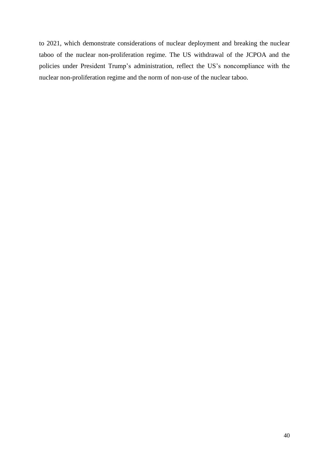to 2021, which demonstrate considerations of nuclear deployment and breaking the nuclear taboo of the nuclear non-proliferation regime. The US withdrawal of the JCPOA and the policies under President Trump's administration, reflect the US's noncompliance with the nuclear non-proliferation regime and the norm of non-use of the nuclear taboo.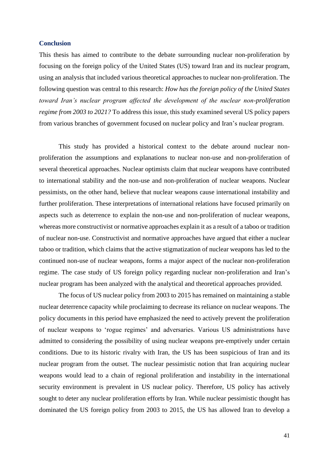#### <span id="page-40-0"></span>**Conclusion**

This thesis has aimed to contribute to the debate surrounding nuclear non-proliferation by focusing on the foreign policy of the United States (US) toward Iran and its nuclear program, using an analysis that included various theoretical approaches to nuclear non-proliferation. The following question was central to this research: *How has the foreign policy of the United States toward Iran's nuclear program affected the development of the nuclear non-proliferation regime from 2003 to 2021?* To address this issue, this study examined several US policy papers from various branches of government focused on nuclear policy and Iran's nuclear program.

This study has provided a historical context to the debate around nuclear nonproliferation the assumptions and explanations to nuclear non-use and non-proliferation of several theoretical approaches. Nuclear optimists claim that nuclear weapons have contributed to international stability and the non-use and non-proliferation of nuclear weapons. Nuclear pessimists, on the other hand, believe that nuclear weapons cause international instability and further proliferation. These interpretations of international relations have focused primarily on aspects such as deterrence to explain the non-use and non-proliferation of nuclear weapons, whereas more constructivist or normative approaches explain it as a result of a taboo or tradition of nuclear non-use. Constructivist and normative approaches have argued that either a nuclear taboo or tradition, which claims that the active stigmatization of nuclear weapons has led to the continued non-use of nuclear weapons, forms a major aspect of the nuclear non-proliferation regime. The case study of US foreign policy regarding nuclear non-proliferation and Iran's nuclear program has been analyzed with the analytical and theoretical approaches provided.

The focus of US nuclear policy from 2003 to 2015 has remained on maintaining a stable nuclear deterrence capacity while proclaiming to decrease its reliance on nuclear weapons. The policy documents in this period have emphasized the need to actively prevent the proliferation of nuclear weapons to 'rogue regimes' and adversaries. Various US administrations have admitted to considering the possibility of using nuclear weapons pre-emptively under certain conditions. Due to its historic rivalry with Iran, the US has been suspicious of Iran and its nuclear program from the outset. The nuclear pessimistic notion that Iran acquiring nuclear weapons would lead to a chain of regional proliferation and instability in the international security environment is prevalent in US nuclear policy. Therefore, US policy has actively sought to deter any nuclear proliferation efforts by Iran. While nuclear pessimistic thought has dominated the US foreign policy from 2003 to 2015, the US has allowed Iran to develop a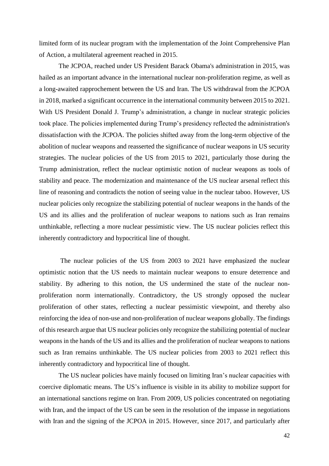limited form of its nuclear program with the implementation of the Joint Comprehensive Plan of Action, a multilateral agreement reached in 2015.

The JCPOA, reached under US President Barack Obama's administration in 2015, was hailed as an important advance in the international nuclear non-proliferation regime, as well as a long-awaited rapprochement between the US and Iran. The US withdrawal from the JCPOA in 2018, marked a significant occurrence in the international community between 2015 to 2021. With US President Donald J. Trump's administration, a change in nuclear strategic policies took place. The policies implemented during Trump's presidency reflected the administration's dissatisfaction with the JCPOA. The policies shifted away from the long-term objective of the abolition of nuclear weapons and reasserted the significance of nuclear weapons in US security strategies. The nuclear policies of the US from 2015 to 2021, particularly those during the Trump administration, reflect the nuclear optimistic notion of nuclear weapons as tools of stability and peace. The modernization and maintenance of the US nuclear arsenal reflect this line of reasoning and contradicts the notion of seeing value in the nuclear taboo. However, US nuclear policies only recognize the stabilizing potential of nuclear weapons in the hands of the US and its allies and the proliferation of nuclear weapons to nations such as Iran remains unthinkable, reflecting a more nuclear pessimistic view. The US nuclear policies reflect this inherently contradictory and hypocritical line of thought.

The nuclear policies of the US from 2003 to 2021 have emphasized the nuclear optimistic notion that the US needs to maintain nuclear weapons to ensure deterrence and stability. By adhering to this notion, the US undermined the state of the nuclear nonproliferation norm internationally. Contradictory, the US strongly opposed the nuclear proliferation of other states, reflecting a nuclear pessimistic viewpoint, and thereby also reinforcing the idea of non-use and non-proliferation of nuclear weapons globally. The findings of this research argue that US nuclear policies only recognize the stabilizing potential of nuclear weapons in the hands of the US and its allies and the proliferation of nuclear weapons to nations such as Iran remains unthinkable. The US nuclear policies from 2003 to 2021 reflect this inherently contradictory and hypocritical line of thought.

The US nuclear policies have mainly focused on limiting Iran's nuclear capacities with coercive diplomatic means. The US's influence is visible in its ability to mobilize support for an international sanctions regime on Iran. From 2009, US policies concentrated on negotiating with Iran, and the impact of the US can be seen in the resolution of the impasse in negotiations with Iran and the signing of the JCPOA in 2015. However, since 2017, and particularly after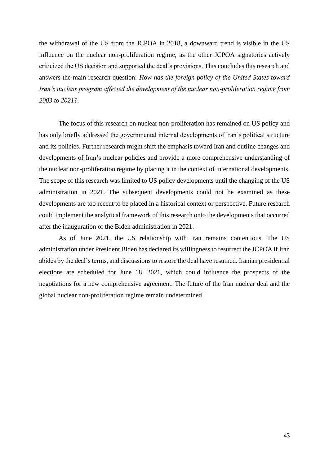the withdrawal of the US from the JCPOA in 2018, a downward trend is visible in the US influence on the nuclear non-proliferation regime, as the other JCPOA signatories actively criticized the US decision and supported the deal's provisions. This concludes this research and answers the main research question: *How has the foreign policy of the United States toward Iran's nuclear program affected the development of the nuclear non-proliferation regime from 2003 to 2021?.*

The focus of this research on nuclear non-proliferation has remained on US policy and has only briefly addressed the governmental internal developments of Iran's political structure and its policies. Further research might shift the emphasis toward Iran and outline changes and developments of Iran's nuclear policies and provide a more comprehensive understanding of the nuclear non-proliferation regime by placing it in the context of international developments. The scope of this research was limited to US policy developments until the changing of the US administration in 2021. The subsequent developments could not be examined as these developments are too recent to be placed in a historical context or perspective. Future research could implement the analytical framework of this research onto the developments that occurred after the inauguration of the Biden administration in 2021.

As of June 2021, the US relationship with Iran remains contentious. The US administration under President Biden has declared its willingness to resurrect the JCPOA if Iran abides by the deal's terms, and discussions to restore the deal have resumed. Iranian presidential elections are scheduled for June 18, 2021, which could influence the prospects of the negotiations for a new comprehensive agreement. The future of the Iran nuclear deal and the global nuclear non-proliferation regime remain undetermined.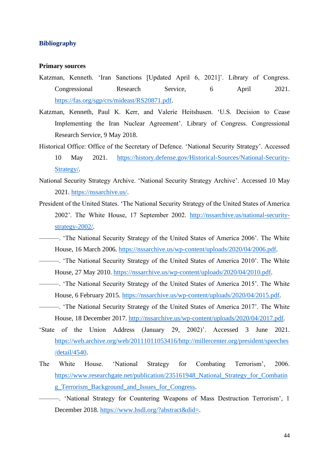#### <span id="page-43-0"></span>**Bibliography**

#### **Primary sources**

- Katzman, Kenneth. 'Iran Sanctions [Updated April 6, 2021]'. Library of Congress. Congressional Research Service, 6 April 2021. [https://fas.org/sgp/crs/mideast/RS20871.pdf.](https://fas.org/sgp/crs/mideast/RS20871.pdf)
- Katzman, Kenneth, Paul K. Kerr, and Valerie Heitshusen. 'U.S. Decision to Cease Implementing the Iran Nuclear Agreement'. Library of Congress. Congressional Research Service, 9 May 2018.
- Historical Office: Office of the Secretary of Defence. 'National Security Strategy'. Accessed 10 May 2021. [https://history.defense.gov/Historical-Sources/National-Security-](https://history.defense.gov/Historical-Sources/National-Security-Strategy/)[Strategy/.](https://history.defense.gov/Historical-Sources/National-Security-Strategy/)
- National Security Strategy Archive. 'National Security Strategy Archive'. Accessed 10 May 2021. [https://nssarchive.us/.](https://nssarchive.us/)
- President of the United States. 'The National Security Strategy of the United States of America 2002'. The White House, 17 September 2002. [http://nssarchive.us/national-security](http://nssarchive.us/national-security-strategy-2002/)[strategy-2002/.](http://nssarchive.us/national-security-strategy-2002/)
- ———. 'The National Security Strategy of the United States of America 2006'. The White House, 16 March 2006. [https://nssarchive.us/wp-content/uploads/2020/04/2006.pdf.](https://nssarchive.us/wp-content/uploads/2020/04/2006.pdf)
- ———. 'The National Security Strategy of the United States of America 2010'. The White House, 27 May 2010. [https://nssarchive.us/wp-content/uploads/2020/04/2010.pdf.](https://nssarchive.us/wp-content/uploads/2020/04/2010.pdf)
- ———. 'The National Security Strategy of the United States of America 2015'. The White House, 6 February 2015. [https://nssarchive.us/wp-content/uploads/2020/04/2015.pdf.](https://nssarchive.us/wp-content/uploads/2020/04/2015.pdf)
- ———. 'The National Security Strategy of the United States of America 2017'. The White House, 18 December 2017. [http://nssarchive.us/wp-content/uploads/2020/04/2017.pdf.](http://nssarchive.us/wp-content/uploads/2020/04/2017.pdf)
- 'State of the Union Address (January 29, 2002)'. Accessed 3 June 2021. [https://web.archive.org/web/20111011053416/http://millercenter.org/president/speeches](https://web.archive.org/web/20111011053416/http:/millercenter.org/president/speeches/detail/4540) [/detail/4540.](https://web.archive.org/web/20111011053416/http:/millercenter.org/president/speeches/detail/4540)
- The White House. 'National Strategy for Combating Terrorism', 2006. [https://www.researchgate.net/publication/235161948\\_National\\_Strategy\\_for\\_Combatin](https://www.researchgate.net/publication/235161948_National_Strategy_for_Combating_Terrorism_Background_and_Issues_for_Congress) [g\\_Terrorism\\_Background\\_and\\_Issues\\_for\\_Congress.](https://www.researchgate.net/publication/235161948_National_Strategy_for_Combating_Terrorism_Background_and_Issues_for_Congress)
	- ———. 'National Strategy for Countering Weapons of Mass Destruction Terrorism', 1 December 2018. [https://www.hsdl.org/?abstract&did=.](https://www.hsdl.org/?abstract&did=)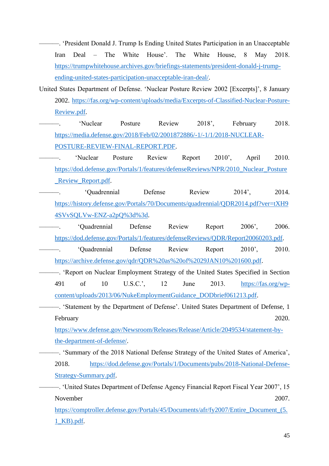———. 'President Donald J. Trump Is Ending United States Participation in an Unacceptable Iran Deal – The White House'. The White House, 8 May 2018. [https://trumpwhitehouse.archives.gov/briefings-statements/president-donald-j-trump](https://trumpwhitehouse.archives.gov/briefings-statements/president-donald-j-trump-ending-united-states-participation-unacceptable-iran-deal/)[ending-united-states-participation-unacceptable-iran-deal/.](https://trumpwhitehouse.archives.gov/briefings-statements/president-donald-j-trump-ending-united-states-participation-unacceptable-iran-deal/)

United States Department of Defense. 'Nuclear Posture Review 2002 [Excerpts]', 8 January 2002. [https://fas.org/wp-content/uploads/media/Excerpts-of-Classified-Nuclear-Posture-](https://fas.org/wp-content/uploads/media/Excerpts-of-Classified-Nuclear-Posture-Review.pdf)[Review.pdf.](https://fas.org/wp-content/uploads/media/Excerpts-of-Classified-Nuclear-Posture-Review.pdf)

———. 'Nuclear Posture Review 2018', February 2018. [https://media.defense.gov/2018/Feb/02/2001872886/-1/-1/1/2018-NUCLEAR-](https://media.defense.gov/2018/Feb/02/2001872886/-1/-1/1/2018-NUCLEAR-POSTURE-REVIEW-FINAL-REPORT.PDF)[POSTURE-REVIEW-FINAL-REPORT.PDF.](https://media.defense.gov/2018/Feb/02/2001872886/-1/-1/1/2018-NUCLEAR-POSTURE-REVIEW-FINAL-REPORT.PDF)

———. 'Nuclear Posture Review Report 2010', April 2010. [https://dod.defense.gov/Portals/1/features/defenseReviews/NPR/2010\\_Nuclear\\_Posture](https://dod.defense.gov/Portals/1/features/defenseReviews/NPR/2010_Nuclear_Posture_Review_Report.pdf) [\\_Review\\_Report.pdf.](https://dod.defense.gov/Portals/1/features/defenseReviews/NPR/2010_Nuclear_Posture_Review_Report.pdf)

———. 'Quadrennial Defense Review 2014', 2014. [https://history.defense.gov/Portals/70/Documents/quadrennial/QDR2014.pdf?ver=tXH9](https://history.defense.gov/Portals/70/Documents/quadrennial/QDR2014.pdf?ver=tXH94SVvSQLVw-ENZ-a2pQ%3d%3d) [4SVvSQLVw-ENZ-a2pQ%3d%3d.](https://history.defense.gov/Portals/70/Documents/quadrennial/QDR2014.pdf?ver=tXH94SVvSQLVw-ENZ-a2pQ%3d%3d)

- ———. 'Quadrennial Defense Review Report 2006', 2006. [https://dod.defense.gov/Portals/1/features/defenseReviews/QDR/Report20060203.pdf.](https://dod.defense.gov/Portals/1/features/defenseReviews/QDR/Report20060203.pdf)
- ———. 'Quadrennial Defense Review Report 2010', 2010. [https://archive.defense.gov/qdr/QDR%20as%20of%2029JAN10%201600.pdf.](https://archive.defense.gov/qdr/QDR%20as%20of%2029JAN10%201600.pdf)
- ———. 'Report on Nuclear Employment Strategy of the United States Specified in Section 491 of 10 U.S.C.', 12 June 2013. [https://fas.org/wp](https://fas.org/wp-content/uploads/2013/06/NukeEmploymentGuidance_DODbrief061213.pdf)[content/uploads/2013/06/NukeEmploymentGuidance\\_DODbrief061213.pdf.](https://fas.org/wp-content/uploads/2013/06/NukeEmploymentGuidance_DODbrief061213.pdf)
	- ———. 'Statement by the Department of Defense'. United States Department of Defense, 1 February 2020.

[https://www.defense.gov/Newsroom/Releases/Release/Article/2049534/statement-by](https://www.defense.gov/Newsroom/Releases/Release/Article/2049534/statement-by-the-department-of-defense/)[the-department-of-defense/.](https://www.defense.gov/Newsroom/Releases/Release/Article/2049534/statement-by-the-department-of-defense/)

———. 'Summary of the 2018 National Defense Strategy of the United States of America', 2018. [https://dod.defense.gov/Portals/1/Documents/pubs/2018-National-Defense-](https://dod.defense.gov/Portals/1/Documents/pubs/2018-National-Defense-Strategy-Summary.pdf)[Strategy-Summary.pdf.](https://dod.defense.gov/Portals/1/Documents/pubs/2018-National-Defense-Strategy-Summary.pdf)

———. 'United States Department of Defense Agency Financial Report Fiscal Year 2007', 15 November 2007.

https://comptroller.defense.gov/Portals/45/Documents/afr/fy2007/Entire\_Document (5. [1\\_KB\).pdf.](https://comptroller.defense.gov/Portals/45/Documents/afr/fy2007/Entire_Document_(5.1_KB).pdf)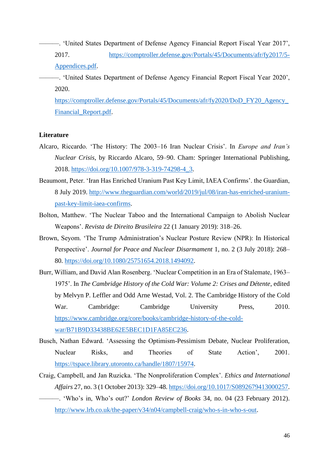- ———. 'United States Department of Defense Agency Financial Report Fiscal Year 2017', 2017. [https://comptroller.defense.gov/Portals/45/Documents/afr/fy2017/5-](https://comptroller.defense.gov/Portals/45/Documents/afr/fy2017/5-Appendices.pdf) [Appendices.pdf.](https://comptroller.defense.gov/Portals/45/Documents/afr/fy2017/5-Appendices.pdf)
- ———. 'United States Department of Defense Agency Financial Report Fiscal Year 2020', 2020.

[https://comptroller.defense.gov/Portals/45/Documents/afr/fy2020/DoD\\_FY20\\_Agency\\_](https://comptroller.defense.gov/Portals/45/Documents/afr/fy2020/DoD_FY20_Agency_Financial_Report.pdf) [Financial\\_Report.pdf.](https://comptroller.defense.gov/Portals/45/Documents/afr/fy2020/DoD_FY20_Agency_Financial_Report.pdf)

#### **Literature**

- Alcaro, Riccardo. 'The History: The 2003–16 Iran Nuclear Crisis'. In *Europe and Iran's Nuclear Crisis*, by Riccardo Alcaro, 59–90. Cham: Springer International Publishing, 2018. [https://doi.org/10.1007/978-3-319-74298-4\\_3.](https://doi.org/10.1007/978-3-319-74298-4_3)
- Beaumont, Peter. 'Iran Has Enriched Uranium Past Key Limit, IAEA Confirms'. the Guardian, 8 July 2019. [http://www.theguardian.com/world/2019/jul/08/iran-has-enriched-uranium](http://www.theguardian.com/world/2019/jul/08/iran-has-enriched-uranium-past-key-limit-iaea-confirms)[past-key-limit-iaea-confirms.](http://www.theguardian.com/world/2019/jul/08/iran-has-enriched-uranium-past-key-limit-iaea-confirms)
- Bolton, Matthew. 'The Nuclear Taboo and the International Campaign to Abolish Nuclear Weapons'. *Revista de Direito Brasileira* 22 (1 January 2019): 318–26.
- Brown, Seyom. 'The Trump Administration's Nuclear Posture Review (NPR): In Historical Perspective'. *Journal for Peace and Nuclear Disarmament* 1, no. 2 (3 July 2018): 268– 80. [https://doi.org/10.1080/25751654.2018.1494092.](https://doi.org/10.1080/25751654.2018.1494092)
- Burr, William, and David Alan Rosenberg. 'Nuclear Competition in an Era of Stalemate, 1963– 1975'. In *The Cambridge History of the Cold War: Volume 2: Crises and Détente*, edited by Melvyn P. Leffler and Odd Arne Westad, Vol. 2. The Cambridge History of the Cold War. Cambridge: Cambridge University Press, 2010. [https://www.cambridge.org/core/books/cambridge-history-of-the-cold](https://www.cambridge.org/core/books/cambridge-history-of-the-cold-war/B71B9D33438BE62E5BEC1D1FA85EC236)[war/B71B9D33438BE62E5BEC1D1FA85EC236.](https://www.cambridge.org/core/books/cambridge-history-of-the-cold-war/B71B9D33438BE62E5BEC1D1FA85EC236)
- Busch, Nathan Edward. 'Assessing the Optimism-Pessimism Debate, Nuclear Proliferation, Nuclear Risks, and Theories of State Action', 2001. [https://tspace.library.utoronto.ca/handle/1807/15974.](https://tspace.library.utoronto.ca/handle/1807/15974)
- Craig, Campbell, and Jan Ruzicka. 'The Nonproliferation Complex'. *Ethics and International Affairs* 27, no. 3 (1 October 2013): 329–48[. https://doi.org/10.1017/S0892679413000257.](https://doi.org/10.1017/S0892679413000257) ———. 'Who's in, Who's out?' *London Review of Books* 34, no. 04 (23 February 2012). [http://www.lrb.co.uk/the-paper/v34/n04/campbell-craig/who-s-in-who-s-out.](http://www.lrb.co.uk/the-paper/v34/n04/campbell-craig/who-s-in-who-s-out)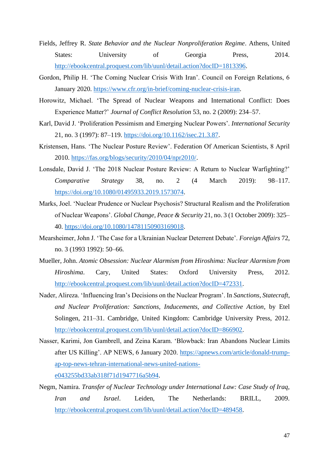- Fields, Jeffrey R. *State Behavior and the Nuclear Nonproliferation Regime*. Athens, United States: University of Georgia Press, 2014. [http://ebookcentral.proquest.com/lib/uunl/detail.action?docID=1813396.](http://ebookcentral.proquest.com/lib/uunl/detail.action?docID=1813396)
- Gordon, Philip H. 'The Coming Nuclear Crisis With Iran'. Council on Foreign Relations, 6 January 2020. [https://www.cfr.org/in-brief/coming-nuclear-crisis-iran.](https://www.cfr.org/in-brief/coming-nuclear-crisis-iran)
- Horowitz, Michael. 'The Spread of Nuclear Weapons and International Conflict: Does Experience Matter?' *Journal of Conflict Resolution* 53, no. 2 (2009): 234–57.
- Karl, David J. 'Proliferation Pessimism and Emerging Nuclear Powers'. *International Security* 21, no. 3 (1997): 87–119. [https://doi.org/10.1162/isec.21.3.87.](https://doi.org/10.1162/isec.21.3.87)
- Kristensen, Hans. 'The Nuclear Posture Review'. Federation Of American Scientists, 8 April 2010. [https://fas.org/blogs/security/2010/04/npr2010/.](https://fas.org/blogs/security/2010/04/npr2010/)
- Lonsdale, David J. 'The 2018 Nuclear Posture Review: A Return to Nuclear Warfighting?' *Comparative Strategy* 38, no. 2 (4 March 2019): 98–117. [https://doi.org/10.1080/01495933.2019.1573074.](https://doi.org/10.1080/01495933.2019.1573074)
- Marks, Joel. 'Nuclear Prudence or Nuclear Psychosis? Structural Realism and the Proliferation of Nuclear Weapons'. *Global Change, Peace & Security* 21, no. 3 (1 October 2009): 325– 40. [https://doi.org/10.1080/14781150903169018.](https://doi.org/10.1080/14781150903169018)
- Mearsheimer, John J. 'The Case for a Ukrainian Nuclear Deterrent Debate'. *Foreign Affairs* 72, no. 3 (1993 1992): 50–66.
- Mueller, John. *Atomic Obsession: Nuclear Alarmism from Hiroshima: Nuclear Alarmism from Hiroshima*. Cary, United States: Oxford University Press, 2012. [http://ebookcentral.proquest.com/lib/uunl/detail.action?docID=472331.](http://ebookcentral.proquest.com/lib/uunl/detail.action?docID=472331)
- Nader, Alireza. 'Influencing Iran's Decisions on the Nuclear Program'. In *Sanctions, Statecraft, and Nuclear Proliferation: Sanctions, Inducements, and Collective Action*, by Etel Solingen, 211–31. Cambridge, United Kingdom: Cambridge University Press, 2012. [http://ebookcentral.proquest.com/lib/uunl/detail.action?docID=866902.](http://ebookcentral.proquest.com/lib/uunl/detail.action?docID=866902)
- Nasser, Karimi, Jon Gambrell, and Zeina Karam. 'Blowback: Iran Abandons Nuclear Limits after US Killing'. AP NEWS, 6 January 2020. [https://apnews.com/article/donald-trump](https://apnews.com/article/donald-trump-ap-top-news-tehran-international-news-united-nations-e043255bd33ab318f71d1947716a5b94)[ap-top-news-tehran-international-news-united-nations](https://apnews.com/article/donald-trump-ap-top-news-tehran-international-news-united-nations-e043255bd33ab318f71d1947716a5b94)[e043255bd33ab318f71d1947716a5b94.](https://apnews.com/article/donald-trump-ap-top-news-tehran-international-news-united-nations-e043255bd33ab318f71d1947716a5b94)
- Negm, Namira. *Transfer of Nuclear Technology under International Law: Case Study of Iraq, Iran and Israel*. Leiden, The Netherlands: BRILL, 2009. [http://ebookcentral.proquest.com/lib/uunl/detail.action?docID=489458.](http://ebookcentral.proquest.com/lib/uunl/detail.action?docID=489458)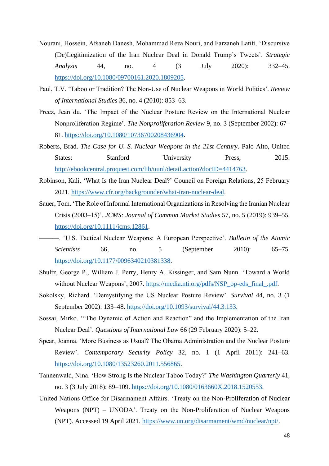- Nourani, Hossein, Afsaneh Danesh, Mohammad Reza Nouri, and Farzaneh Latifi. 'Discursive (De)Legitimization of the Iran Nuclear Deal in Donald Trump's Tweets'. *Strategic Analysis* 44, no. 4 (3 July 2020): 332–45. [https://doi.org/10.1080/09700161.2020.1809205.](https://doi.org/10.1080/09700161.2020.1809205)
- Paul, T.V. 'Taboo or Tradition? The Non-Use of Nuclear Weapons in World Politics'. *Review of International Studies* 36, no. 4 (2010): 853–63.
- Preez, Jean du. 'The Impact of the Nuclear Posture Review on the International Nuclear Nonproliferation Regime'. *The Nonproliferation Review* 9, no. 3 (September 2002): 67– 81. [https://doi.org/10.1080/10736700208436904.](https://doi.org/10.1080/10736700208436904)
- Roberts, Brad. *The Case for U. S. Nuclear Weapons in the 21st Century*. Palo Alto, United States: Stanford University Press, 2015. [http://ebookcentral.proquest.com/lib/uunl/detail.action?docID=4414763.](http://ebookcentral.proquest.com/lib/uunl/detail.action?docID=4414763)
- Robinson, Kali. 'What Is the Iran Nuclear Deal?' Council on Foreign Relations, 25 February 2021. [https://www.cfr.org/backgrounder/what-iran-nuclear-deal.](https://www.cfr.org/backgrounder/what-iran-nuclear-deal)
- Sauer, Tom. 'The Role of Informal International Organizations in Resolving the Iranian Nuclear Crisis (2003–15)'. *JCMS: Journal of Common Market Studies* 57, no. 5 (2019): 939–55. [https://doi.org/10.1111/jcms.12861.](https://doi.org/10.1111/jcms.12861)
- ———. 'U.S. Tactical Nuclear Weapons: A European Perspective'. *Bulletin of the Atomic Scientists* 66, no. 5 (September 2010): 65–75. [https://doi.org/10.1177/0096340210381338.](https://doi.org/10.1177/0096340210381338)
- Shultz, George P., William J. Perry, Henry A. Kissinger, and Sam Nunn. 'Toward a World without Nuclear Weapons', 2007. [https://media.nti.org/pdfs/NSP\\_op-eds\\_final\\_.pdf.](https://media.nti.org/pdfs/NSP_op-eds_final_.pdf)
- Sokolsky, Richard. 'Demystifying the US Nuclear Posture Review'. *Survival* 44, no. 3 (1 September 2002): 133–48. [https://doi.org/10.1093/survival/44.3.133.](https://doi.org/10.1093/survival/44.3.133)
- Sossai, Mirko. '"The Dynamic of Action and Reaction" and the Implementation of the Iran Nuclear Deal'. *Questions of International Law* 66 (29 February 2020): 5–22.
- Spear, Joanna. 'More Business as Usual? The Obama Administration and the Nuclear Posture Review'. *Contemporary Security Policy* 32, no. 1 (1 April 2011): 241–63. [https://doi.org/10.1080/13523260.2011.556865.](https://doi.org/10.1080/13523260.2011.556865)
- Tannenwald, Nina. 'How Strong Is the Nuclear Taboo Today?' *The Washington Quarterly* 41, no. 3 (3 July 2018): 89–109. [https://doi.org/10.1080/0163660X.2018.1520553.](https://doi.org/10.1080/0163660X.2018.1520553)
- United Nations Office for Disarmament Affairs. 'Treaty on the Non-Proliferation of Nuclear Weapons (NPT) – UNODA'. Treaty on the Non-Proliferation of Nuclear Weapons (NPT). Accessed 19 April 2021. [https://www.un.org/disarmament/wmd/nuclear/npt/.](https://www.un.org/disarmament/wmd/nuclear/npt/)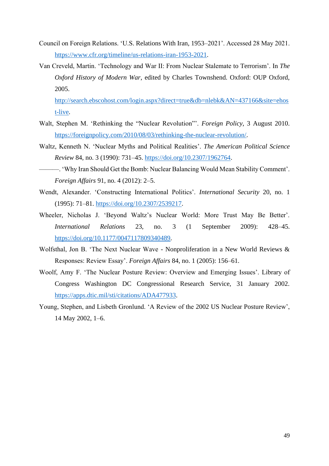- Council on Foreign Relations. 'U.S. Relations With Iran, 1953–2021'. Accessed 28 May 2021. [https://www.cfr.org/timeline/us-relations-iran-1953-2021.](https://www.cfr.org/timeline/us-relations-iran-1953-2021)
- Van Creveld, Martin. 'Technology and War II: From Nuclear Stalemate to Terrorism'. In *The Oxford History of Modern War*, edited by Charles Townshend. Oxford: OUP Oxford, 2005.

[http://search.ebscohost.com/login.aspx?direct=true&db=nlebk&AN=437166&site=ehos](http://search.ebscohost.com/login.aspx?direct=true&db=nlebk&AN=437166&site=ehost-live) [t-live.](http://search.ebscohost.com/login.aspx?direct=true&db=nlebk&AN=437166&site=ehost-live)

- Walt, Stephen M. 'Rethinking the "Nuclear Revolution"'. *Foreign Policy*, 3 August 2010. [https://foreignpolicy.com/2010/08/03/rethinking-the-nuclear-revolution/.](https://foreignpolicy.com/2010/08/03/rethinking-the-nuclear-revolution/)
- Waltz, Kenneth N. 'Nuclear Myths and Political Realities'. *The American Political Science Review* 84, no. 3 (1990): 731–45. [https://doi.org/10.2307/1962764.](https://doi.org/10.2307/1962764)
- ———. 'Why Iran Should Get the Bomb: Nuclear Balancing Would Mean Stability Comment'. *Foreign Affairs* 91, no. 4 (2012): 2–5.
- Wendt, Alexander. 'Constructing International Politics'. *International Security* 20, no. 1 (1995): 71–81. [https://doi.org/10.2307/2539217.](https://doi.org/10.2307/2539217)
- Wheeler, Nicholas J. 'Beyond Waltz's Nuclear World: More Trust May Be Better'. *International Relations* 23, no. 3 (1 September 2009): 428–45. [https://doi.org/10.1177/0047117809340489.](https://doi.org/10.1177/0047117809340489)
- Wolfsthal, Jon B. 'The Next Nuclear Wave Nonproliferation in a New World Reviews & Responses: Review Essay'. *Foreign Affairs* 84, no. 1 (2005): 156–61.
- Woolf, Amy F. 'The Nuclear Posture Review: Overview and Emerging Issues'. Library of Congress Washington DC Congressional Research Service, 31 January 2002. [https://apps.dtic.mil/sti/citations/ADA477933.](https://apps.dtic.mil/sti/citations/ADA477933)
- Young, Stephen, and Lisbeth Gronlund. 'A Review of the 2002 US Nuclear Posture Review', 14 May 2002, 1–6.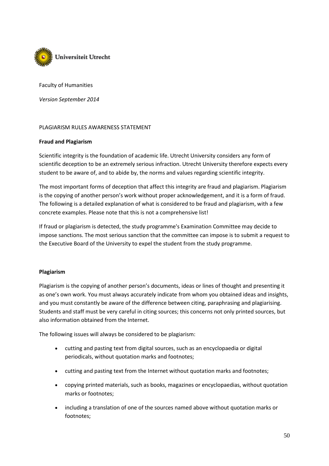

Faculty of Humanities

*Version September 2014*

#### PLAGIARISM RULES AWARENESS STATEMENT

#### **Fraud and Plagiarism**

Scientific integrity is the foundation of academic life. Utrecht University considers any form of scientific deception to be an extremely serious infraction. Utrecht University therefore expects every student to be aware of, and to abide by, the norms and values regarding scientific integrity.

The most important forms of deception that affect this integrity are fraud and plagiarism. Plagiarism is the copying of another person's work without proper acknowledgement, and it is a form of fraud. The following is a detailed explanation of what is considered to be fraud and plagiarism, with a few concrete examples. Please note that this is not a comprehensive list!

If fraud or plagiarism is detected, the study programme's Examination Committee may decide to impose sanctions. The most serious sanction that the committee can impose is to submit a request to the Executive Board of the University to expel the student from the study programme.

#### **Plagiarism**

Plagiarism is the copying of another person's documents, ideas or lines of thought and presenting it as one's own work. You must always accurately indicate from whom you obtained ideas and insights, and you must constantly be aware of the difference between citing, paraphrasing and plagiarising. Students and staff must be very careful in citing sources; this concerns not only printed sources, but also information obtained from the Internet.

The following issues will always be considered to be plagiarism:

- cutting and pasting text from digital sources, such as an encyclopaedia or digital periodicals, without quotation marks and footnotes;
- cutting and pasting text from the Internet without quotation marks and footnotes;
- copying printed materials, such as books, magazines or encyclopaedias, without quotation marks or footnotes;
- including a translation of one of the sources named above without quotation marks or footnotes;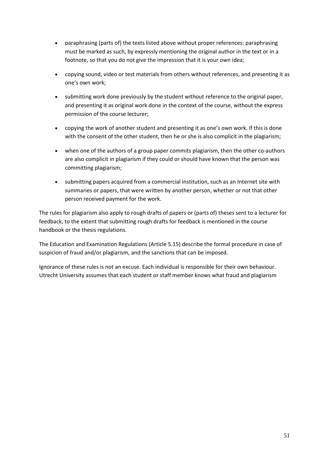- paraphrasing (parts of) the texts listed above without proper references: paraphrasing must be marked as such, by expressly mentioning the original author in the text or in a footnote, so that you do not give the impression that it is your own idea;
- copying sound, video or test materials from others without references, and presenting it as one's own work;
- submitting work done previously by the student without reference to the original paper, and presenting it as original work done in the context of the course, without the express permission of the course lecturer;
- copying the work of another student and presenting it as one's own work. If this is done with the consent of the other student, then he or she is also complicit in the plagiarism;
- when one of the authors of a group paper commits plagiarism, then the other co-authors are also complicit in plagiarism if they could or should have known that the person was committing plagiarism;
- submitting papers acquired from a commercial institution, such as an Internet site with summaries or papers, that were written by another person, whether or not that other person received payment for the work.

The rules for plagiarism also apply to rough drafts of papers or (parts of) theses sent to a lecturer for feedback, to the extent that submitting rough drafts for feedback is mentioned in the course handbook or the thesis regulations.

The Education and Examination Regulations (Article 5.15) describe the formal procedure in case of suspicion of fraud and/or plagiarism, and the sanctions that can be imposed.

Ignorance of these rules is not an excuse. Each individual is responsible for their own behaviour. Utrecht University assumes that each student or staff member knows what fraud and plagiarism